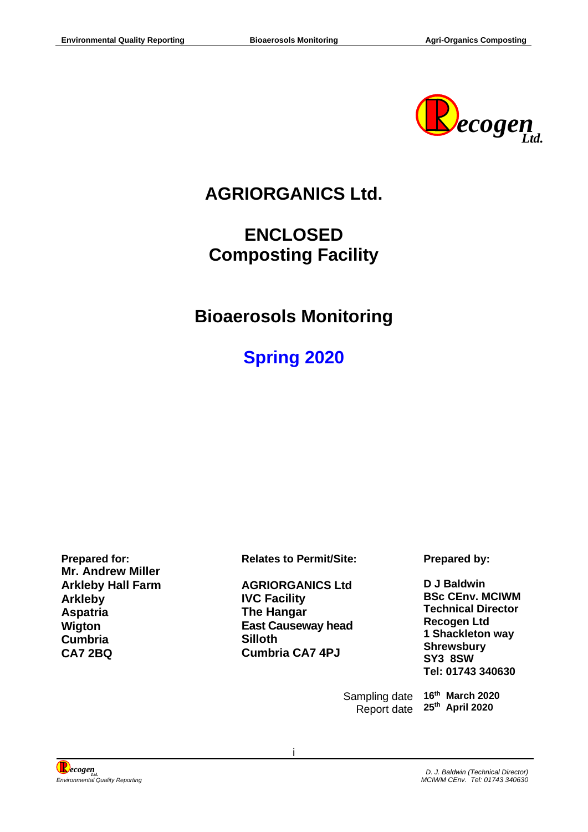

# **AGRIORGANICS Ltd.**

# **ENCLOSED Composting Facility**

# **Bioaerosols Monitoring**

# **Spring 2020**

**Mr. Andrew Miller Arkleby Hall Farm Arkleby Aspatria Wigton Cumbria CA7 2BQ** 

**Prepared for: Relates to Permit/Site: Prepared by:**

**AGRIORGANICS Ltd IVC Facility The Hangar East Causeway head Silloth Cumbria CA7 4PJ**

**D J Baldwin BSc CEnv. MCIWM Technical Director Recogen Ltd 1 Shackleton way Shrewsbury SY3 8SW Tel: 01743 340630**

Sampling date Report date **25th April 2020** 

**16th March 2020** 



i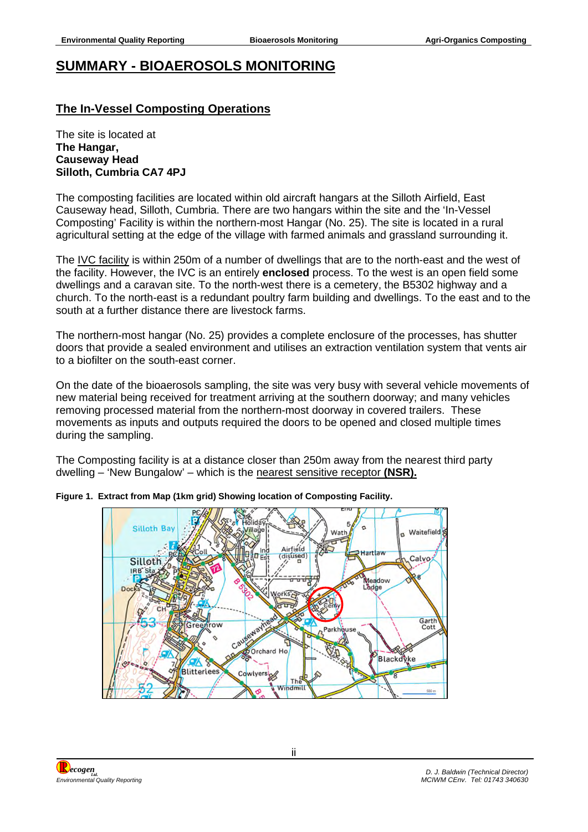### <span id="page-1-0"></span>**SUMMARY - BIOAEROSOLS MONITORING**

### **The In-Vessel Composting Operations**

The site is located at **The Hangar, Causeway Head Silloth, Cumbria CA7 4PJ**

The composting facilities are located within old aircraft hangars at the Silloth Airfield, East Causeway head, Silloth, Cumbria. There are two hangars within the site and the 'In-Vessel Composting' Facility is within the northern-most Hangar (No. 25). The site is located in a rural agricultural setting at the edge of the village with farmed animals and grassland surrounding it.

The IVC facility is within 250m of a number of dwellings that are to the north-east and the west of the facility. However, the IVC is an entirely **enclosed** process. To the west is an open field some dwellings and a caravan site. To the north-west there is a cemetery, the B5302 highway and a church. To the north-east is a redundant poultry farm building and dwellings. To the east and to the south at a further distance there are livestock farms.

The northern-most hangar (No. 25) provides a complete enclosure of the processes, has shutter doors that provide a sealed environment and utilises an extraction ventilation system that vents air to a biofilter on the south-east corner.

On the date of the bioaerosols sampling, the site was very busy with several vehicle movements of new material being received for treatment arriving at the southern doorway; and many vehicles removing processed material from the northern-most doorway in covered trailers. These movements as inputs and outputs required the doors to be opened and closed multiple times during the sampling.

The Composting facility is at a distance closer than 250m away from the nearest third party dwelling – 'New Bungalow' – which is the nearest sensitive receptor **(NSR).**



**Figure 1. Extract from Map (1km grid) Showing location of Composting Facility.** 

*ecogenLtd. Environmental Quality Reporting*

*D. J. Baldwin (Technical Director) MCIWM CEnv. Tel: 01743 340630*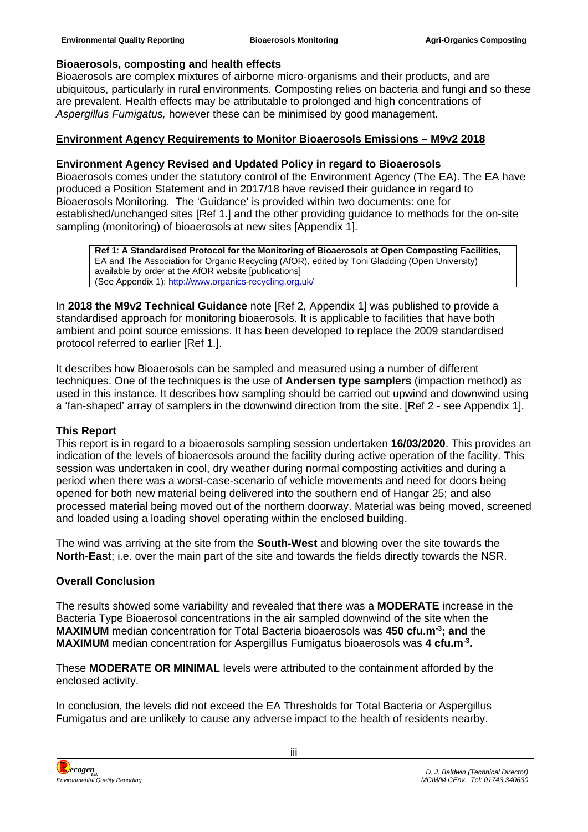#### **Bioaerosols, composting and health effects**

Bioaerosols are complex mixtures of airborne micro-organisms and their products, and are ubiquitous, particularly in rural environments. Composting relies on bacteria and fungi and so these are prevalent. Health effects may be attributable to prolonged and high concentrations of *Aspergillus Fumigatus,* however these can be minimised by good management.

#### **Environment Agency Requirements to Monitor Bioaerosols Emissions – M9v2 2018**

#### **Environment Agency Revised and Updated Policy in regard to Bioaerosols**

Bioaerosols comes under the statutory control of the Environment Agency (The EA). The EA have produced a Position Statement and in 2017/18 have revised their guidance in regard to Bioaerosols Monitoring. The 'Guidance' is provided within two documents: one for established/unchanged sites [Ref 1.] and the other providing guidance to methods for the on-site sampling (monitoring) of bioaerosols at new sites [Appendix 1].

**Ref 1**: **A Standardised Protocol for the Monitoring of Bioaerosols at Open Composting Facilities**, EA and The Association for Organic Recycling (AfOR), edited by Toni Gladding (Open University) available by order at the AfOR website [publications] (See Appendix 1): <http://www.organics-recycling.org.uk/>

In **2018 the M9v2 Technical Guidance** note [Ref 2, Appendix 1] was published to provide a standardised approach for monitoring bioaerosols. It is applicable to facilities that have both ambient and point source emissions. It has been developed to replace the 2009 standardised protocol referred to earlier [Ref 1.].

It describes how Bioaerosols can be sampled and measured using a number of different techniques. One of the techniques is the use of **Andersen type samplers** (impaction method) as used in this instance. It describes how sampling should be carried out upwind and downwind using a 'fan-shaped' array of samplers in the downwind direction from the site. [Ref 2 - see Appendix 1].

#### **This Report**

This report is in regard to a bioaerosols sampling session undertaken **16/03/2020**. This provides an indication of the levels of bioaerosols around the facility during active operation of the facility. This session was undertaken in cool, dry weather during normal composting activities and during a period when there was a worst-case-scenario of vehicle movements and need for doors being opened for both new material being delivered into the southern end of Hangar 25; and also processed material being moved out of the northern doorway. Material was being moved, screened and loaded using a loading shovel operating within the enclosed building.

The wind was arriving at the site from the **South-West** and blowing over the site towards the **North-East**; i.e. over the main part of the site and towards the fields directly towards the NSR.

#### **Overall Conclusion**

The results showed some variability and revealed that there was a **MODERATE** increase in the Bacteria Type Bioaerosol concentrations in the air sampled downwind of the site when the **MAXIMUM** median concentration for Total Bacteria bioaerosols was **450 cfu.m-3; and** the **MAXIMUM** median concentration for Aspergillus Fumigatus bioaerosols was **4 cfu.m-3 .**

These **MODERATE OR MINIMAL** levels were attributed to the containment afforded by the enclosed activity.

In conclusion, the levels did not exceed the EA Thresholds for Total Bacteria or Aspergillus Fumigatus and are unlikely to cause any adverse impact to the health of residents nearby.

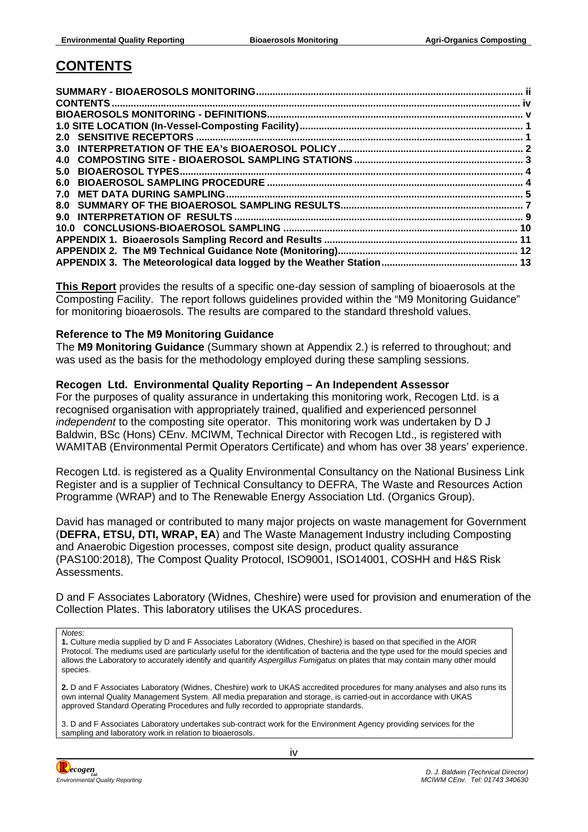### <span id="page-3-0"></span>**CONTENTS**

**This Report** provides the results of a specific one-day session of sampling of bioaerosols at the Composting Facility. The report follows guidelines provided within the "M9 Monitoring Guidance" for monitoring bioaerosols. The results are compared to the standard threshold values.

#### **Reference to The M9 Monitoring Guidance**

The **M9 Monitoring Guidance** (Summary shown at Appendix 2.) is referred to throughout; and was used as the basis for the methodology employed during these sampling sessions.

#### **Recogen Ltd. Environmental Quality Reporting – An Independent Assessor**

For the purposes of quality assurance in undertaking this monitoring work, Recogen Ltd. is a recognised organisation with appropriately trained, qualified and experienced personnel *independent* to the composting site operator. This monitoring work was undertaken by D J Baldwin, BSc (Hons) CEnv. MCIWM, Technical Director with Recogen Ltd., is registered with WAMITAB (Environmental Permit Operators Certificate) and whom has over 38 years' experience.

Recogen Ltd. is registered as a Quality Environmental Consultancy on the National Business Link Register and is a supplier of Technical Consultancy to DEFRA, The Waste and Resources Action Programme (WRAP) and to The Renewable Energy Association Ltd. (Organics Group).

David has managed or contributed to many major projects on waste management for Government (**DEFRA, ETSU, DTI, WRAP, EA**) and The Waste Management Industry including Composting and Anaerobic Digestion processes, compost site design, product quality assurance (PAS100:2018), The Compost Quality Protocol, ISO9001, ISO14001, COSHH and H&S Risk Assessments.

D and F Associates Laboratory (Widnes, Cheshire) were used for provision and enumeration of the Collection Plates. This laboratory utilises the UKAS procedures.

*Notes:*

**1.** Culture media supplied by D and F Associates Laboratory (Widnes, Cheshire) is based on that specified in the AfOR Protocol. The mediums used are particularly useful for the identification of bacteria and the type used for the mould species and allows the Laboratory to accurately identify and quantify *Aspergillus Fumigatus* on plates that may contain many other mould species.

**2.** D and F Associates Laboratory (Widnes, Cheshire) work to UKAS accredited procedures for many analyses and also runs its own internal Quality Management System. All media preparation and storage, is carried-out in accordance with UKAS approved Standard Operating Procedures and fully recorded to appropriate standards.

3. D and F Associates Laboratory undertakes sub-contract work for the Environment Agency providing services for the sampling and laboratory work in relation to bioaerosols.

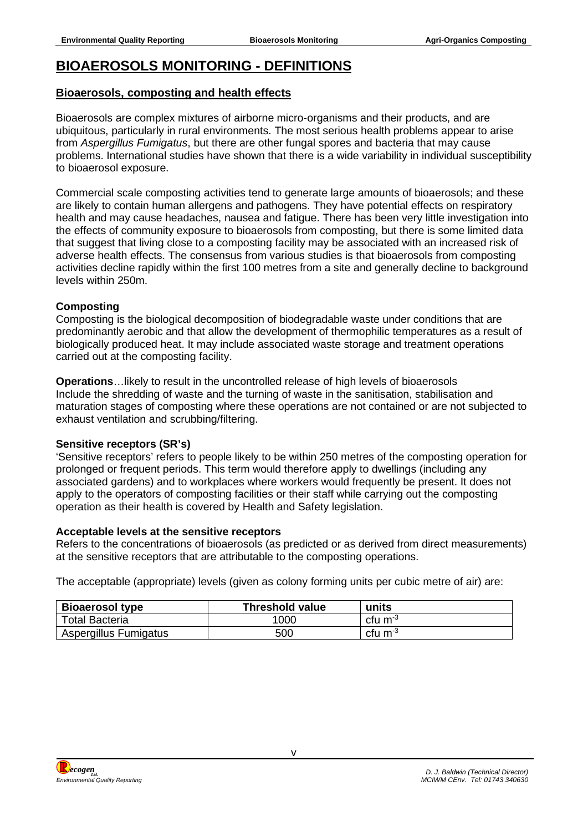### <span id="page-4-0"></span>**BIOAEROSOLS MONITORING - DEFINITIONS**

### **Bioaerosols, composting and health effects**

Bioaerosols are complex mixtures of airborne micro-organisms and their products, and are ubiquitous, particularly in rural environments. The most serious health problems appear to arise from *Aspergillus Fumigatus*, but there are other fungal spores and bacteria that may cause problems. International studies have shown that there is a wide variability in individual susceptibility to bioaerosol exposure.

Commercial scale composting activities tend to generate large amounts of bioaerosols; and these are likely to contain human allergens and pathogens. They have potential effects on respiratory health and may cause headaches, nausea and fatigue. There has been very little investigation into the effects of community exposure to bioaerosols from composting, but there is some limited data that suggest that living close to a composting facility may be associated with an increased risk of adverse health effects. The consensus from various studies is that bioaerosols from composting activities decline rapidly within the first 100 metres from a site and generally decline to background levels within 250m.

### **Composting**

Composting is the biological decomposition of biodegradable waste under conditions that are predominantly aerobic and that allow the development of thermophilic temperatures as a result of biologically produced heat. It may include associated waste storage and treatment operations carried out at the composting facility.

**Operations**…likely to result in the uncontrolled release of high levels of bioaerosols Include the shredding of waste and the turning of waste in the sanitisation, stabilisation and maturation stages of composting where these operations are not contained or are not subjected to exhaust ventilation and scrubbing/filtering.

### **Sensitive receptors (SR's)**

'Sensitive receptors' refers to people likely to be within 250 metres of the composting operation for prolonged or frequent periods. This term would therefore apply to dwellings (including any associated gardens) and to workplaces where workers would frequently be present. It does not apply to the operators of composting facilities or their staff while carrying out the composting operation as their health is covered by Health and Safety legislation.

#### **Acceptable levels at the sensitive receptors**

Refers to the concentrations of bioaerosols (as predicted or as derived from direct measurements) at the sensitive receptors that are attributable to the composting operations.

The acceptable (appropriate) levels (given as colony forming units per cubic metre of air) are:

| <b>Bioaerosol type</b> | <b>Threshold value</b> | units               |
|------------------------|------------------------|---------------------|
| <b>Total Bacteria</b>  | 1000                   | cfu m <sup>-3</sup> |
| Aspergillus Fumigatus  | 500                    | cfu m <sup>-3</sup> |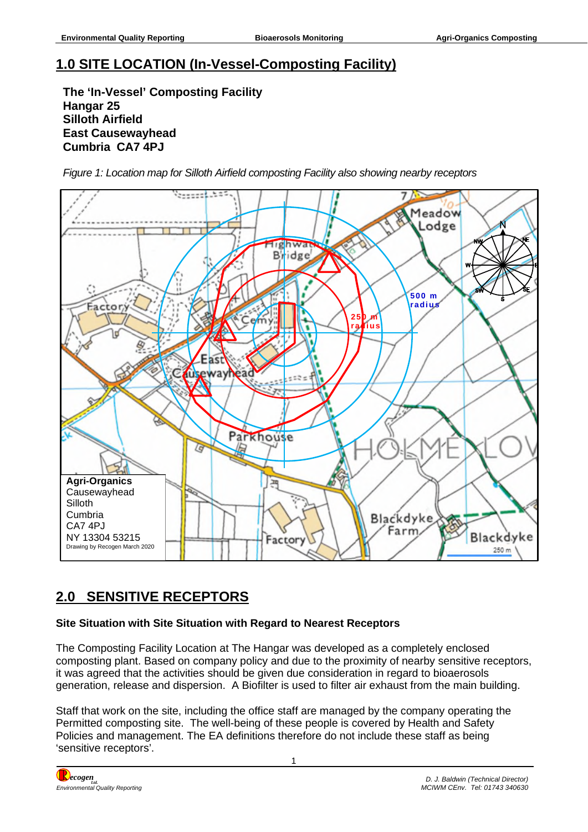# <span id="page-5-0"></span>**1.0 SITE LOCATION (In-Vessel-Composting Facility)**

**The 'In-Vessel' Composting Facility Hangar 25 Silloth Airfield East Causewayhead Cumbria CA7 4PJ** 

*Figure 1: Location map for Silloth Airfield composting Facility also showing nearby receptors* 



# <span id="page-5-1"></span>**2.0 SENSITIVE RECEPTORS**

### **Site Situation with Site Situation with Regard to Nearest Receptors**

The Composting Facility Location at The Hangar was developed as a completely enclosed composting plant. Based on company policy and due to the proximity of nearby sensitive receptors, it was agreed that the activities should be given due consideration in regard to bioaerosols generation, release and dispersion. A Biofilter is used to filter air exhaust from the main building.

Staff that work on the site, including the office staff are managed by the company operating the Permitted composting site. The well-being of these people is covered by Health and Safety Policies and management. The EA definitions therefore do not include these staff as being 'sensitive receptors'.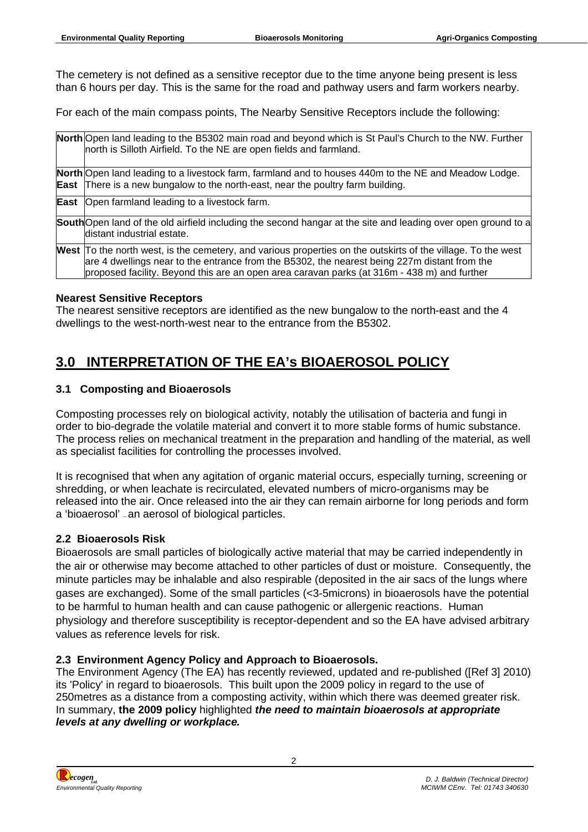The cemetery is not defined as a sensitive receptor due to the time anyone being present is less than 6 hours per day. This is the same for the road and pathway users and farm workers nearby.

For each of the main compass points, The Nearby Sensitive Receptors include the following:

| North Open land leading to the B5302 main road and beyond which is St Paul's Church to the NW. Further<br>north is Silloth Airfield. To the NE are open fields and farmland.                                                                                                                                |
|-------------------------------------------------------------------------------------------------------------------------------------------------------------------------------------------------------------------------------------------------------------------------------------------------------------|
| North Open land leading to a livestock farm, farmland and to houses 440m to the NE and Meadow Lodge.<br><b>East</b> There is a new bungalow to the north-east, near the poultry farm building.                                                                                                              |
| <b>East</b> Open farmland leading to a livestock farm.                                                                                                                                                                                                                                                      |
| South Open land of the old airfield including the second hangar at the site and leading over open ground to a<br>distant industrial estate.                                                                                                                                                                 |
| West To the north west, is the cemetery, and various properties on the outskirts of the village. To the west<br>are 4 dwellings near to the entrance from the B5302, the nearest being 227m distant from the<br>proposed facility. Beyond this are an open area caravan parks (at 316m - 438 m) and further |

#### **Nearest Sensitive Receptors**

The nearest sensitive receptors are identified as the new bungalow to the north-east and the 4 dwellings to the west-north-west near to the entrance from the B5302.

## <span id="page-6-0"></span>**3.0 INTERPRETATION OF THE EA's BIOAEROSOL POLICY**

#### **3.1 Composting and Bioaerosols**

Composting processes rely on biological activity, notably the utilisation of bacteria and fungi in order to bio-degrade the volatile material and convert it to more stable forms of humic substance. The process relies on mechanical treatment in the preparation and handling of the material, as well as specialist facilities for controlling the processes involved.

It is recognised that when any agitation of organic material occurs, especially turning, screening or shredding, or when leachate is recirculated, elevated numbers of micro-organisms may be released into the air. Once released into the air they can remain airborne for long periods and form a 'bioaerosol' — an aerosol of biological particles.

#### **2.2 Bioaerosols Risk**

Bioaerosols are small particles of biologically active material that may be carried independently in the air or otherwise may become attached to other particles of dust or moisture. Consequently, the minute particles may be inhalable and also respirable (deposited in the air sacs of the lungs where gases are exchanged). Some of the small particles (<3-5microns) in bioaerosols have the potential to be harmful to human health and can cause pathogenic or allergenic reactions. Human physiology and therefore susceptibility is receptor-dependent and so the EA have advised arbitrary values as reference levels for risk.

### **2.3 Environment Agency Policy and Approach to Bioaerosols.**

The Environment Agency (The EA) has recently reviewed, updated and re-published ([Ref 3] 2010) its 'Policy' in regard to bioaerosols. This built upon the 2009 policy in regard to the use of 250metres as a distance from a composting activity, within which there was deemed greater risk. In summary, **the 2009 policy** highlighted *the need to maintain bioaerosols at appropriate levels at any dwelling or workplace.*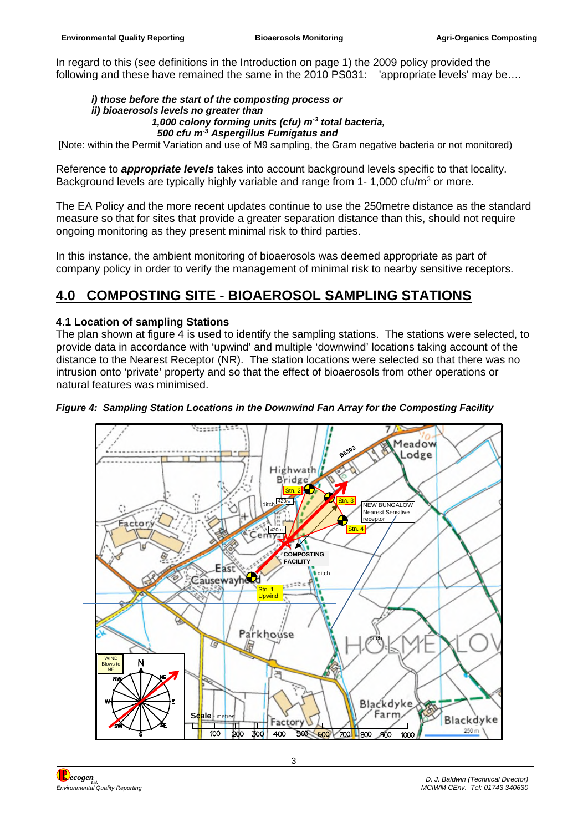In regard to this (see definitions in the Introduction on page 1) the 2009 policy provided the following and these have remained the same in the 2010 PS031: 'appropriate levels' may be….

#### *i) those before the start of the composting process or ii) bioaerosols levels no greater than 1,000 colony forming units (cfu) m-3 total bacteria, 500 cfu m-3 Aspergillus Fumigatus and*

[Note: within the Permit Variation and use of M9 sampling, the Gram negative bacteria or not monitored)

Reference to *appropriate levels* takes into account background levels specific to that locality. Background levels are typically highly variable and range from  $1-1,000$  cfu/m<sup>3</sup> or more.

The EA Policy and the more recent updates continue to use the 250metre distance as the standard measure so that for sites that provide a greater separation distance than this, should not require ongoing monitoring as they present minimal risk to third parties.

In this instance, the ambient monitoring of bioaerosols was deemed appropriate as part of company policy in order to verify the management of minimal risk to nearby sensitive receptors.

## <span id="page-7-0"></span>**4.0 COMPOSTING SITE - BIOAEROSOL SAMPLING STATIONS**

### **4.1 Location of sampling Stations**

The plan shown at figure 4 is used to identify the sampling stations. The stations were selected, to provide data in accordance with 'upwind' and multiple 'downwind' locations taking account of the distance to the Nearest Receptor (NR). The station locations were selected so that there was no intrusion onto 'private' property and so that the effect of bioaerosols from other operations or natural features was minimised.

#### *Figure 4: Sampling Station Locations in the Downwind Fan Array for the Composting Facility*

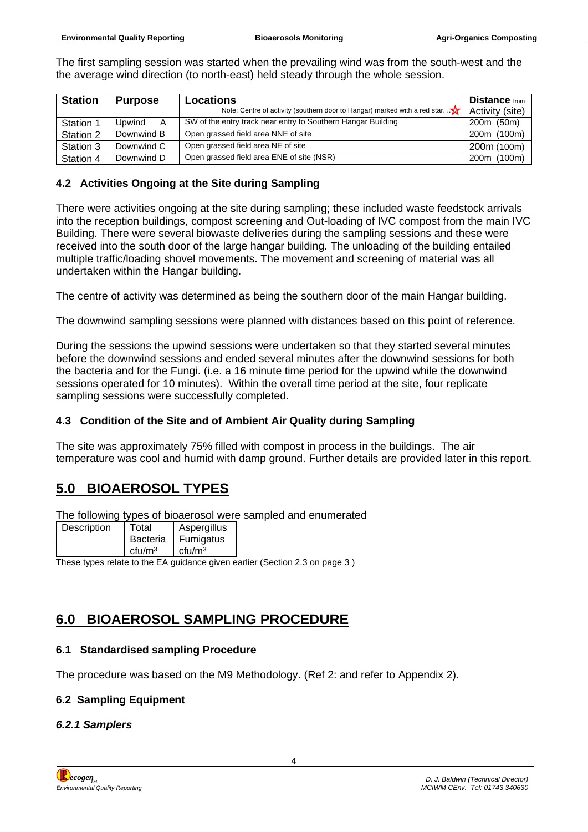The first sampling session was started when the prevailing wind was from the south-west and the the average wind direction (to north-east) held steady through the whole session.

| <b>Station</b> | <b>Purpose</b> | <b>Locations</b>                                                                        | <b>Distance</b> from |
|----------------|----------------|-----------------------------------------------------------------------------------------|----------------------|
|                |                | Note: Centre of activity (southern door to Hangar) marked with a red star. $\mathbf{X}$ | Activity (site)      |
| Station 1      | Upwind         | SW of the entry track near entry to Southern Hangar Building                            | 200m (50m)           |
| Station 2      | Downwind B     | Open grassed field area NNE of site                                                     | 200m (100m)          |
| Station 3      | Downwind C     | Open grassed field area NE of site                                                      | 200m (100m)          |
| Station 4      | Downwind D     | Open grassed field area ENE of site (NSR)                                               | 200m (100m)          |

#### **4.2 Activities Ongoing at the Site during Sampling**

There were activities ongoing at the site during sampling; these included waste feedstock arrivals into the reception buildings, compost screening and Out-loading of IVC compost from the main IVC Building. There were several biowaste deliveries during the sampling sessions and these were received into the south door of the large hangar building. The unloading of the building entailed multiple traffic/loading shovel movements. The movement and screening of material was all undertaken within the Hangar building.

The centre of activity was determined as being the southern door of the main Hangar building.

The downwind sampling sessions were planned with distances based on this point of reference.

During the sessions the upwind sessions were undertaken so that they started several minutes before the downwind sessions and ended several minutes after the downwind sessions for both the bacteria and for the Fungi. (i.e. a 16 minute time period for the upwind while the downwind sessions operated for 10 minutes). Within the overall time period at the site, four replicate sampling sessions were successfully completed.

### **4.3 Condition of the Site and of Ambient Air Quality during Sampling**

The site was approximately 75% filled with compost in process in the buildings. The air temperature was cool and humid with damp ground. Further details are provided later in this report.

## <span id="page-8-0"></span>**5.0 BIOAEROSOL TYPES**

The following types of bioaerosol were sampled and enumerated

| Description | Total              | Aspergillus        |
|-------------|--------------------|--------------------|
|             | <b>Bacteria</b>    | Fumigatus          |
|             | ctu/m <sup>3</sup> | ctu/m <sup>3</sup> |

These types relate to the EA guidance given earlier (Section 2.3 on page 3)

## <span id="page-8-1"></span>**6.0 BIOAEROSOL SAMPLING PROCEDURE**

### **6.1 Standardised sampling Procedure**

The procedure was based on the M9 Methodology. (Ref 2: and refer to Appendix 2).

### **6.2 Sampling Equipment**

#### *6.2.1 Samplers*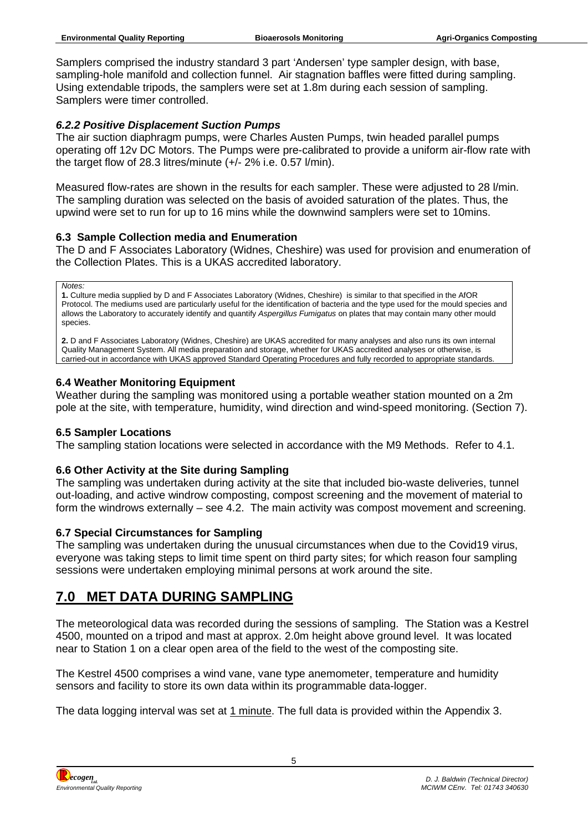Samplers comprised the industry standard 3 part 'Andersen' type sampler design, with base, sampling-hole manifold and collection funnel. Air stagnation baffles were fitted during sampling. Using extendable tripods, the samplers were set at 1.8m during each session of sampling. Samplers were timer controlled.

### *6.2.2 Positive Displacement Suction Pumps*

The air suction diaphragm pumps, were Charles Austen Pumps, twin headed parallel pumps operating off 12v DC Motors. The Pumps were pre-calibrated to provide a uniform air-flow rate with the target flow of 28.3 litres/minute (+/- 2% i.e. 0.57 l/min).

Measured flow-rates are shown in the results for each sampler. These were adjusted to 28 l/min. The sampling duration was selected on the basis of avoided saturation of the plates. Thus, the upwind were set to run for up to 16 mins while the downwind samplers were set to 10mins.

### **6.3 Sample Collection media and Enumeration**

The D and F Associates Laboratory (Widnes, Cheshire) was used for provision and enumeration of the Collection Plates. This is a UKAS accredited laboratory.

*Notes:*

**1.** Culture media supplied by D and F Associates Laboratory (Widnes, Cheshire) is similar to that specified in the AfOR Protocol. The mediums used are particularly useful for the identification of bacteria and the type used for the mould species and allows the Laboratory to accurately identify and quantify *Aspergillus Fumigatus* on plates that may contain many other mould species.

**2.** D and F Associates Laboratory (Widnes, Cheshire) are UKAS accredited for many analyses and also runs its own internal Quality Management System. All media preparation and storage, whether for UKAS accredited analyses or otherwise, is carried-out in accordance with UKAS approved Standard Operating Procedures and fully recorded to appropriate standards.

### **6.4 Weather Monitoring Equipment**

Weather during the sampling was monitored using a portable weather station mounted on a 2m pole at the site, with temperature, humidity, wind direction and wind-speed monitoring. (Section 7).

### **6.5 Sampler Locations**

The sampling station locations were selected in accordance with the M9 Methods. Refer to 4.1.

### **6.6 Other Activity at the Site during Sampling**

The sampling was undertaken during activity at the site that included bio-waste deliveries, tunnel out-loading, and active windrow composting, compost screening and the movement of material to form the windrows externally – see 4.2. The main activity was compost movement and screening.

### **6.7 Special Circumstances for Sampling**

The sampling was undertaken during the unusual circumstances when due to the Covid19 virus, everyone was taking steps to limit time spent on third party sites; for which reason four sampling sessions were undertaken employing minimal persons at work around the site.

# <span id="page-9-0"></span>**7.0 MET DATA DURING SAMPLING**

The meteorological data was recorded during the sessions of sampling. The Station was a Kestrel 4500, mounted on a tripod and mast at approx. 2.0m height above ground level. It was located near to Station 1 on a clear open area of the field to the west of the composting site.

The Kestrel 4500 comprises a wind vane, vane type anemometer, temperature and humidity sensors and facility to store its own data within its programmable data-logger.

The data logging interval was set at 1 minute. The full data is provided within the Appendix 3.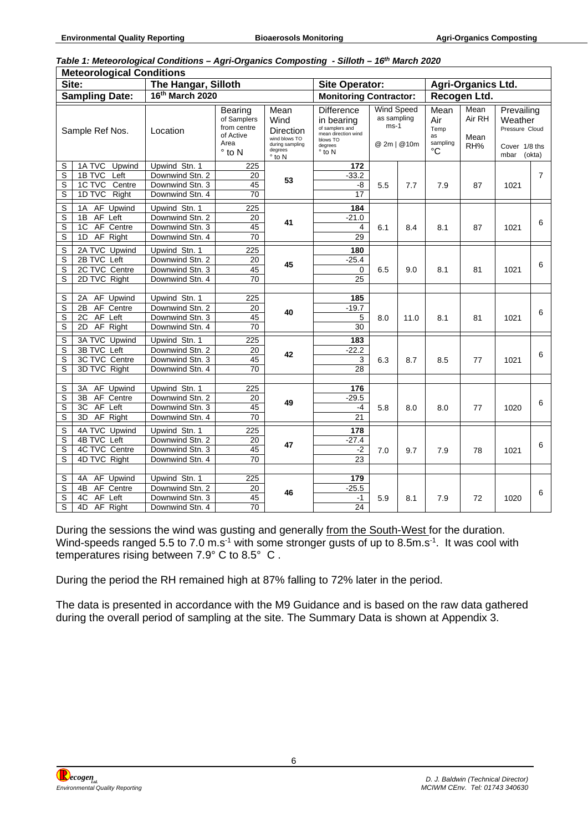| Table 1: Meteorological Conditions - Agri-Organics Composting - Silloth - 16th March 2020 |  |  |
|-------------------------------------------------------------------------------------------|--|--|
|-------------------------------------------------------------------------------------------|--|--|

|                  | <b>Meteorological Conditions</b>                                                  |                                                                        |                                                                              |                                                                                            |                                                                                                                    |                                            |              |                                             |                                                                                                          |      |                |
|------------------|-----------------------------------------------------------------------------------|------------------------------------------------------------------------|------------------------------------------------------------------------------|--------------------------------------------------------------------------------------------|--------------------------------------------------------------------------------------------------------------------|--------------------------------------------|--------------|---------------------------------------------|----------------------------------------------------------------------------------------------------------|------|----------------|
|                  | Site:                                                                             | The Hangar, Silloth                                                    |                                                                              |                                                                                            | <b>Site Operator:</b>                                                                                              |                                            |              | <b>Agri-Organics Ltd.</b>                   |                                                                                                          |      |                |
|                  | <b>Sampling Date:</b>                                                             | 16th March 2020                                                        |                                                                              |                                                                                            | <b>Monitoring Contractor:</b>                                                                                      |                                            |              | Recogen Ltd.                                |                                                                                                          |      |                |
|                  | Sample Ref Nos.                                                                   | Location                                                               | Bearing<br>of Samplers<br>from centre<br>of Active<br>Area<br>$\degree$ to N | Mean<br>Wind<br>Direction<br>wind blows TO<br>during sampling<br>degrees<br>$\degree$ to N | <b>Difference</b><br>in bearing<br>of samplers and<br>mean direction wind<br>blows TO<br>degrees<br>$\degree$ to N | <b>Wind Speed</b><br>as sampling<br>$ms-1$ | @ 2m   @ 10m | Mean<br>Air<br>Temp<br>as<br>sampling<br>°C | Mean<br>Prevailing<br>Air RH<br>Weather<br>Pressure Cloud<br>Mean<br>RH%<br>Cover 1/8 ths<br>mbar (okta) |      |                |
| S<br>S<br>S<br>S | 1A TVC<br>Upwind<br>1B TVC<br>Left<br>1C TVC<br>Centre<br>1D TVC<br>Right         | Upwind Stn. 1<br>Downwind Stn. 2<br>Downwind Stn. 3<br>Downwind Stn. 4 | 225<br>20<br>45<br>70                                                        | 53                                                                                         | 172<br>$-33.2$<br>-8<br>17                                                                                         | 5.5                                        | 7.7          | 7.9                                         | 87                                                                                                       | 1021 | $\overline{7}$ |
| S<br>S<br>S<br>S | AF Upwind<br>1А<br>AF Left<br>1B<br>AF Centre<br>1 <sup>C</sup><br>AF Right<br>1D | Upwind Stn. 1<br>Downwind Stn. 2<br>Downwind Stn. 3<br>Downwind Stn. 4 | 225<br>20<br>45<br>70                                                        | 41                                                                                         | 184<br>$-21.0$<br>4<br>29                                                                                          | 6.1                                        | 8.4          | 8.1                                         | 87                                                                                                       | 1021 | 6              |
| S<br>S<br>S<br>S | 2A TVC Upwind<br>2B TVC Left<br>2C TVC Centre<br>2D TVC Right                     | Upwind Stn. 1<br>Downwind Stn. 2<br>Downwind Stn. 3<br>Downwind Stn. 4 | 225<br>20<br>45<br>70                                                        | 45                                                                                         | 180<br>$-25.4$<br>$\mathbf 0$<br>25                                                                                | 6.5                                        | 9.0          | 8.1                                         | 81                                                                                                       | 1021 | 6              |
| S<br>S<br>S<br>S | AF Upwind<br>2A<br>AF Centre<br>2B<br>2C<br>AF Left<br>AF Right<br>2D             | Upwind Stn. 1<br>Downwind Stn. 2<br>Downwind Stn. 3<br>Downwind Stn. 4 | 225<br>20<br>45<br>70                                                        | 40                                                                                         | 185<br>$-19.7$<br>5<br>30                                                                                          | 8.0                                        | 11.0         | 8.1                                         | 81                                                                                                       | 1021 | 6              |
| S<br>S<br>S<br>S | 3A TVC Upwind<br>3B TVC Left<br>3C TVC Centre<br>3D TVC Right                     | Upwind Stn. 1<br>Downwind Stn. 2<br>Downwind Stn. 3<br>Downwind Stn. 4 | 225<br>20<br>45<br>70                                                        | 42                                                                                         | 183<br>$-22.2$<br>3<br>28                                                                                          | 6.3                                        | 8.7          | 8.5                                         | 77                                                                                                       | 1021 | 6              |
| S<br>S<br>S<br>S | AF Upwind<br>3A<br>AF Centre<br>3B<br>AF Left<br>3C<br>3D<br>AF Right             | Upwind Stn. 1<br>Downwind Stn. 2<br>Downwind Stn. 3<br>Downwind Stn. 4 | 225<br>20<br>45<br>70                                                        | 49                                                                                         | 176<br>$-29.5$<br>-4<br>21                                                                                         | 5.8                                        | 8.0          | 8.0                                         | 77                                                                                                       | 1020 | 6              |
| S<br>S<br>S<br>S | 4A TVC Upwind<br>4B TVC Left<br>4C TVC Centre<br>4D TVC Right                     | Upwind Stn. 1<br>Downwind Stn. 2<br>Downwind Stn. 3<br>Downwind Stn. 4 | 225<br>20<br>45<br>70                                                        | 47                                                                                         | 178<br>$-27.4$<br>$-2$<br>23                                                                                       | 7.0                                        | 9.7          | 7.9                                         | 78                                                                                                       | 1021 | 6              |
| S<br>S<br>S<br>S | AF Upwind<br>4A<br>4B<br>AF Centre<br>4C<br>AF Left<br>4D<br>AF Right             | Upwind Stn. 1<br>Downwind Stn. 2<br>Downwind Stn. 3<br>Downwind Stn. 4 | 225<br>20<br>45<br>70                                                        | 46                                                                                         | 179<br>$-25.5$<br>-1<br>24                                                                                         | 5.9                                        | 8.1          | 7.9                                         | 72                                                                                                       | 1020 | 6              |

During the sessions the wind was gusting and generally from the South-West for the duration. Wind-speeds ranged 5.5 to 7.0 m.s<sup>-1</sup> with some stronger gusts of up to 8.5m.s<sup>-1</sup>. It was cool with temperatures rising between 7.9° C to 8.5° C .

During the period the RH remained high at 87% falling to 72% later in the period.

The data is presented in accordance with the M9 Guidance and is based on the raw data gathered during the overall period of sampling at the site. The Summary Data is shown at Appendix 3.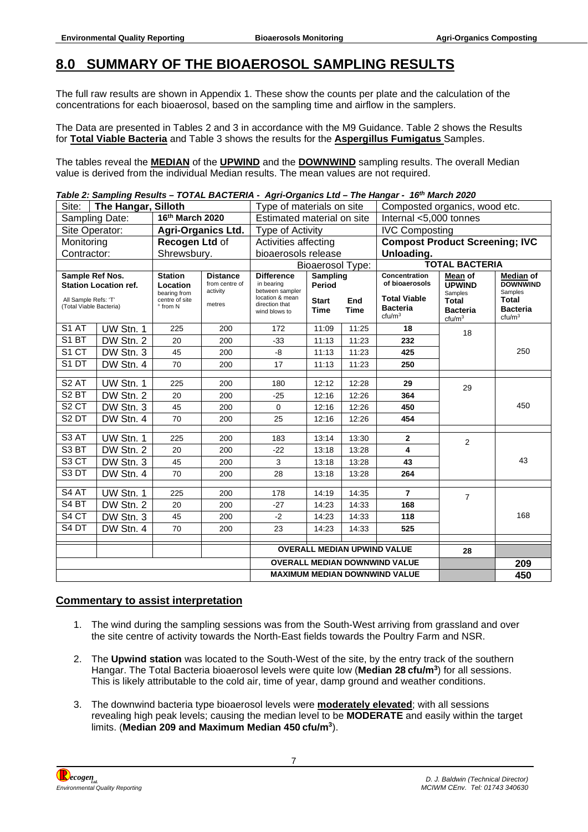## <span id="page-11-0"></span>**8.0 SUMMARY OF THE BIOAEROSOL SAMPLING RESULTS**

The full raw results are shown in Appendix 1. These show the counts per plate and the calculation of the concentrations for each bioaerosol, based on the sampling time and airflow in the samplers.

The Data are presented in Tables 2 and 3 in accordance with the M9 Guidance. Table 2 shows the Results for **Total Viable Bacteria** and Table 3 shows the results for the **Aspergillus Fumigatus** Samples.

The tables reveal the **MEDIAN** of the **UPWIND** and the **DOWNWIND** sampling results. The overall Median value is derived from the individual Median results. The mean values are not required.

#### *Table 2: Sampling Results – TOTAL BACTERIA - Agri-Organics Ltd – The Hangar - 16th March 2020*

| Site:                                           | The Hangar, Silloth          |                            |                                      |                                      | Type of materials on site                            |             |                                       | Composted organics, wood etc.         |                                       |  |  |
|-------------------------------------------------|------------------------------|----------------------------|--------------------------------------|--------------------------------------|------------------------------------------------------|-------------|---------------------------------------|---------------------------------------|---------------------------------------|--|--|
|                                                 | Sampling Date:               | 16th March 2020            |                                      |                                      | Estimated material on site<br>Internal <5,000 tonnes |             |                                       |                                       |                                       |  |  |
|                                                 | Site Operator:               |                            | <b>Agri-Organics Ltd.</b>            | <b>Type of Activity</b>              |                                                      |             | <b>IVC Composting</b>                 |                                       |                                       |  |  |
|                                                 | Monitoring                   |                            | Recogen Ltd of                       | Activities affecting                 |                                                      |             | <b>Compost Product Screening; IVC</b> |                                       |                                       |  |  |
| Contractor:                                     |                              | Shrewsbury.                |                                      | bioaerosols release                  |                                                      |             | Unloading.                            |                                       |                                       |  |  |
|                                                 |                              |                            |                                      |                                      | <b>Bioaerosol Type:</b>                              |             |                                       | <b>TOTAL BACTERIA</b>                 |                                       |  |  |
| Sample Ref Nos.                                 |                              | <b>Station</b>             | <b>Distance</b><br>from centre of    | <b>Difference</b><br>in bearing      | Sampling                                             |             | Concentration<br>of bioaerosols       | Mean of                               | <b>Median of</b><br><b>DOWNWIND</b>   |  |  |
|                                                 | <b>Station Location ref.</b> | Location<br>bearing from   | activity                             | between sampler                      | Period                                               |             |                                       | <b>UPWIND</b><br>Samples              | Samples                               |  |  |
| All Sample Refs: 'T'<br>(Total Viable Bacteria) |                              | centre of site<br>° from N | metres                               | location & mean<br>direction that    | <b>Start</b>                                         | End         | <b>Total Viable</b>                   | <b>Total</b>                          | <b>Total</b>                          |  |  |
|                                                 |                              |                            |                                      | wind blows to                        | <b>Time</b>                                          | <b>Time</b> | <b>Bacteria</b><br>ctu/m <sup>3</sup> | <b>Bacteria</b><br>ctu/m <sup>3</sup> | <b>Bacteria</b><br>ctu/m <sup>3</sup> |  |  |
| S1 AT                                           | UW Stn. 1                    | 225                        | 200                                  | 172                                  | 11:09                                                | 11:25       | 18                                    | 18                                    |                                       |  |  |
| S <sub>1</sub> BT                               | DW Stn. 2                    | 20                         | 200                                  | $-33$                                | 11:13                                                | 11:23       | 232                                   |                                       |                                       |  |  |
| S1 CT                                           | DW Stn. 3                    | 45                         | 200                                  | -8                                   | 11:13                                                | 11:23       | 425                                   |                                       | 250                                   |  |  |
| S1DT                                            | DW Stn. 4                    | 70                         | 200                                  | 17                                   | 11:13                                                | 11:23       | 250                                   |                                       |                                       |  |  |
| S <sub>2</sub> AT                               |                              |                            |                                      |                                      |                                                      |             |                                       |                                       |                                       |  |  |
|                                                 | UW Stn. 1                    | 225                        | 200                                  | 180                                  | 12:12                                                | 12:28       | 29                                    | 29                                    | 450                                   |  |  |
| S <sub>2</sub> BT                               | DW Stn. 2                    | 20                         | 200                                  | $-25$                                | 12:16                                                | 12:26       | 364                                   |                                       |                                       |  |  |
| S <sub>2</sub> CT                               | DW Stn. 3                    | 45                         | 200                                  | $\Omega$                             | 12:16                                                | 12:26       | 450                                   |                                       |                                       |  |  |
| S <sub>2</sub> DT                               | DW Stn. 4                    | 70                         | 200                                  | 25                                   | 12:16                                                | 12:26       | 454                                   |                                       |                                       |  |  |
| S <sub>3</sub> AT                               | UW Stn. 1                    | 225                        | 200                                  | 183                                  | 13:14                                                | 13:30       | $\mathbf{2}$                          | $\overline{2}$                        |                                       |  |  |
| S <sub>3</sub> BT                               | DW Stn. 2                    | 20                         | 200                                  | $-22$                                | 13:18                                                | 13:28       | 4                                     |                                       |                                       |  |  |
| S <sub>3</sub> CT                               | DW Stn. 3                    | 45                         | 200                                  | 3                                    | 13:18                                                | 13:28       | 43                                    |                                       | 43                                    |  |  |
| S <sub>3</sub> DT                               | DW Stn. 4                    | 70                         | 200                                  | 28                                   | 13:18                                                | 13:28       | 264                                   |                                       |                                       |  |  |
| S4 AT                                           |                              |                            |                                      |                                      |                                                      | 14:35       | $\overline{7}$                        |                                       |                                       |  |  |
| S <sub>4</sub> BT                               | UW Stn. 1                    | 225                        | 200                                  | 178                                  | 14:19                                                |             |                                       | $\overline{7}$                        |                                       |  |  |
|                                                 | DW Stn. 2                    | 20                         | 200                                  | $-27$                                | 14:23                                                | 14:33       | 168                                   |                                       | 168                                   |  |  |
| S <sub>4</sub> CT                               | DW Stn. 3                    | 45                         | 200                                  | $-2$                                 | 14:23                                                | 14:33       | 118                                   |                                       |                                       |  |  |
| S4 DT                                           | DW Stn. 4                    | 70                         | 200                                  | 23                                   | 14:23                                                | 14:33       | 525                                   |                                       |                                       |  |  |
|                                                 |                              |                            |                                      |                                      |                                                      |             | <b>OVERALL MEDIAN UPWIND VALUE</b>    | 28                                    |                                       |  |  |
|                                                 |                              |                            |                                      | <b>OVERALL MEDIAN DOWNWIND VALUE</b> |                                                      |             |                                       |                                       | 209                                   |  |  |
|                                                 |                              |                            | <b>MAXIMUM MEDIAN DOWNWIND VALUE</b> |                                      |                                                      |             |                                       | 450                                   |                                       |  |  |

#### **Commentary to assist interpretation**

- 1. The wind during the sampling sessions was from the South-West arriving from grassland and over the site centre of activity towards the North-East fields towards the Poultry Farm and NSR.
- 2. The **Upwind station** was located to the South-West of the site, by the entry track of the southern Hangar. The Total Bacteria bioaerosol levels were quite low (**Median 28 cfu/m<sup>3</sup>** ) for all sessions. This is likely attributable to the cold air, time of year, damp ground and weather conditions.
- 3. The downwind bacteria type bioaerosol levels were **moderately elevated**; with all sessions revealing high peak levels; causing the median level to be **MODERATE** and easily within the target limits. (**Median 209 and Maximum Median 450 cfu/m<sup>3</sup>** ).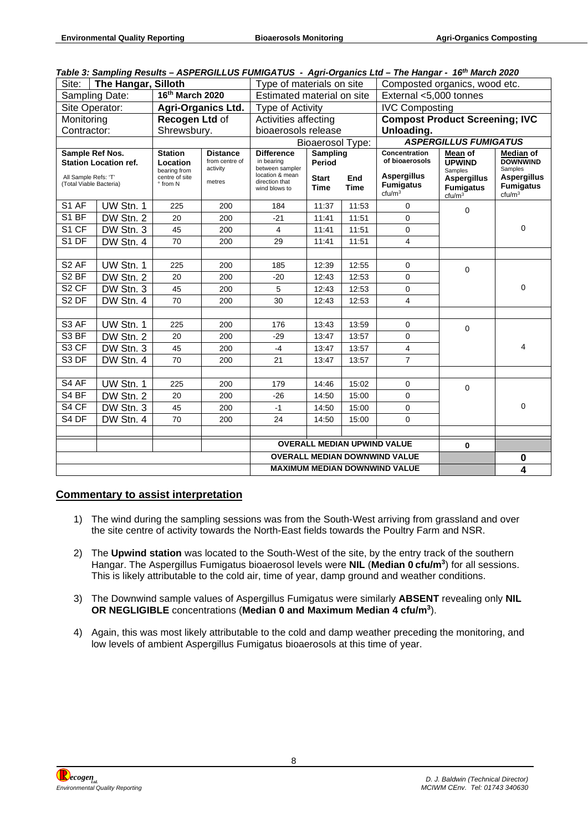### *Table 3: Sampling Results – ASPERGILLUS FUMIGATUS - Agri-Organics Ltd – The Hangar - 16th March 2020*

| Site:                                                                                              | The Hangar, Silloth |                                                                          |                                                         | Type of materials on site                                                               |                                                          |       | rabic J. Jamping Results - Aur EROILLOU PUMOATOU - Agri-Organics Ltd - The Hangar - TV - March 2020<br>Composted organics, wood etc. |                                                                               |                                                                                   |  |
|----------------------------------------------------------------------------------------------------|---------------------|--------------------------------------------------------------------------|---------------------------------------------------------|-----------------------------------------------------------------------------------------|----------------------------------------------------------|-------|--------------------------------------------------------------------------------------------------------------------------------------|-------------------------------------------------------------------------------|-----------------------------------------------------------------------------------|--|
|                                                                                                    | Sampling Date:      | 16th March 2020                                                          |                                                         | Estimated material on site                                                              |                                                          |       | External <5,000 tonnes                                                                                                               |                                                                               |                                                                                   |  |
| Site Operator:                                                                                     |                     |                                                                          | <b>Agri-Organics Ltd.</b>                               |                                                                                         | Type of Activity                                         |       |                                                                                                                                      | <b>IVC Composting</b>                                                         |                                                                                   |  |
| Monitoring                                                                                         |                     | Recogen Ltd of                                                           |                                                         | Activities affecting                                                                    |                                                          |       | <b>Compost Product Screening; IVC</b>                                                                                                |                                                                               |                                                                                   |  |
| Contractor:                                                                                        |                     | Shrewsbury.                                                              |                                                         | bioaerosols release                                                                     |                                                          |       | Unloading.                                                                                                                           |                                                                               |                                                                                   |  |
|                                                                                                    |                     |                                                                          |                                                         |                                                                                         | <b>Bioaerosol Type:</b>                                  |       |                                                                                                                                      | <b>ASPERGILLUS FUMIGATUS</b>                                                  |                                                                                   |  |
| Sample Ref Nos.<br><b>Station Location ref.</b><br>All Sample Refs: 'T'<br>(Total Viable Bacteria) |                     | <b>Station</b><br>Location<br>bearing from<br>centre of site<br>° from N | <b>Distance</b><br>from centre of<br>activity<br>metres | <b>Difference</b><br>in bearing<br>between sampler<br>location & mean<br>direction that | Sampling<br>Period<br><b>Start</b><br>End<br><b>Time</b> |       | <b>Concentration</b><br>of bioaerosols<br><b>Aspergillus</b><br><b>Fumigatus</b>                                                     | Mean of<br><b>UPWIND</b><br>Samples<br><b>Aspergillus</b><br><b>Fumigatus</b> | Median of<br><b>DOWNWIND</b><br>Samples<br><b>Aspergillus</b><br><b>Fumigatus</b> |  |
|                                                                                                    |                     |                                                                          |                                                         | wind blows to                                                                           | <b>Time</b>                                              |       | ctu/m <sup>3</sup>                                                                                                                   | ctu/m <sup>3</sup>                                                            | ctu/m <sup>3</sup>                                                                |  |
| S1 AF                                                                                              | UW Stn. 1           | 225                                                                      | 200                                                     | 184                                                                                     | 11:37                                                    | 11:53 | 0                                                                                                                                    | 0                                                                             |                                                                                   |  |
| S1 BF                                                                                              | DW Stn. 2           | 20                                                                       | 200                                                     | $-21$                                                                                   | 11:41                                                    | 11:51 | $\Omega$                                                                                                                             |                                                                               |                                                                                   |  |
| S1 CF                                                                                              | DW Stn. 3           | 45                                                                       | 200                                                     | $\overline{\mathbf{4}}$                                                                 | 11:41                                                    | 11:51 | 0                                                                                                                                    |                                                                               | 0                                                                                 |  |
| S1 DF                                                                                              | DW Stn. 4           | 70                                                                       | 200                                                     | 29                                                                                      | 11:41                                                    | 11:51 | 4                                                                                                                                    |                                                                               |                                                                                   |  |
|                                                                                                    |                     |                                                                          |                                                         |                                                                                         |                                                          |       |                                                                                                                                      |                                                                               |                                                                                   |  |
| S <sub>2</sub> AF                                                                                  | UW Stn. 1           | 225                                                                      | 200                                                     | 185                                                                                     | 12:39                                                    | 12:55 | 0                                                                                                                                    | $\mathbf 0$                                                                   |                                                                                   |  |
| S <sub>2</sub> BF                                                                                  | DW Stn. 2           | 20                                                                       | 200                                                     | $-20$                                                                                   | 12:43                                                    | 12:53 | 0                                                                                                                                    |                                                                               |                                                                                   |  |
| S <sub>2</sub> CF                                                                                  | DW Stn. 3           | 45                                                                       | 200                                                     | 5                                                                                       | 12:43                                                    | 12:53 | $\overline{0}$                                                                                                                       |                                                                               | 0                                                                                 |  |
| S <sub>2</sub> DF                                                                                  | DW Stn. 4           | 70                                                                       | 200                                                     | 30                                                                                      | 12:43                                                    | 12:53 | 4                                                                                                                                    |                                                                               |                                                                                   |  |
|                                                                                                    |                     |                                                                          |                                                         |                                                                                         |                                                          |       |                                                                                                                                      |                                                                               |                                                                                   |  |
| S <sub>3</sub> AF                                                                                  | UW Stn. 1           | 225                                                                      | 200                                                     | 176                                                                                     | 13:43                                                    | 13:59 | 0                                                                                                                                    | $\mathbf 0$                                                                   |                                                                                   |  |
| S <sub>3</sub> BF                                                                                  | DW Stn. 2           | 20                                                                       | 200                                                     | $-29$                                                                                   | 13:47                                                    | 13:57 | 0                                                                                                                                    |                                                                               |                                                                                   |  |
| S3 CF                                                                                              | DW Stn. 3           | 45                                                                       | 200                                                     | $-4$                                                                                    | 13:47                                                    | 13:57 | 4                                                                                                                                    |                                                                               | 4                                                                                 |  |
| S3 DF                                                                                              | DW Stn. 4           | 70                                                                       | 200                                                     | 21                                                                                      | 13:47                                                    | 13:57 | $\overline{7}$                                                                                                                       |                                                                               |                                                                                   |  |
|                                                                                                    |                     |                                                                          |                                                         |                                                                                         |                                                          |       |                                                                                                                                      |                                                                               |                                                                                   |  |
| S4 AF                                                                                              | UW Stn. 1           | 225                                                                      | 200                                                     | 179                                                                                     | 14:46                                                    | 15:02 | 0                                                                                                                                    | $\mathbf 0$                                                                   |                                                                                   |  |
| S4 BF                                                                                              | DW Stn. 2           | 20                                                                       | 200                                                     | $-26$                                                                                   | 14:50                                                    | 15:00 | 0                                                                                                                                    |                                                                               |                                                                                   |  |
| S4 CF                                                                                              | DW Stn. 3           | 45                                                                       | 200                                                     | $-1$                                                                                    | 14:50                                                    | 15:00 | 0                                                                                                                                    |                                                                               | 0                                                                                 |  |
| S4 DF                                                                                              | DW Stn. 4           | 70                                                                       | 200                                                     | 24                                                                                      | 14:50                                                    | 15:00 | $\Omega$                                                                                                                             |                                                                               |                                                                                   |  |
|                                                                                                    |                     |                                                                          |                                                         |                                                                                         |                                                          |       |                                                                                                                                      |                                                                               |                                                                                   |  |
|                                                                                                    |                     |                                                                          |                                                         |                                                                                         |                                                          |       | <b>OVERALL MEDIAN UPWIND VALUE</b>                                                                                                   | $\bf{0}$                                                                      |                                                                                   |  |
|                                                                                                    |                     |                                                                          |                                                         |                                                                                         |                                                          |       | <b>OVERALL MEDIAN DOWNWIND VALUE</b>                                                                                                 |                                                                               | $\bf{0}$                                                                          |  |
|                                                                                                    |                     |                                                                          | <b>MAXIMUM MEDIAN DOWNWIND VALUE</b>                    |                                                                                         |                                                          | 4     |                                                                                                                                      |                                                                               |                                                                                   |  |

#### **Commentary to assist interpretation**

- 1) The wind during the sampling sessions was from the South-West arriving from grassland and over the site centre of activity towards the North-East fields towards the Poultry Farm and NSR.
- 2) The **Upwind station** was located to the South-West of the site, by the entry track of the southern Hangar. The Aspergillus Fumigatus bioaerosol levels were **NIL** (**Median 0 cfu/m<sup>3</sup>** ) for all sessions. This is likely attributable to the cold air, time of year, damp ground and weather conditions.
- 3) The Downwind sample values of Aspergillus Fumigatus were similarly **ABSENT** revealing only **NIL OR NEGLIGIBLE** concentrations (**Median 0 and Maximum Median 4 cfu/m<sup>3</sup>** ).
- 4) Again, this was most likely attributable to the cold and damp weather preceding the monitoring, and low levels of ambient Aspergillus Fumigatus bioaerosols at this time of year.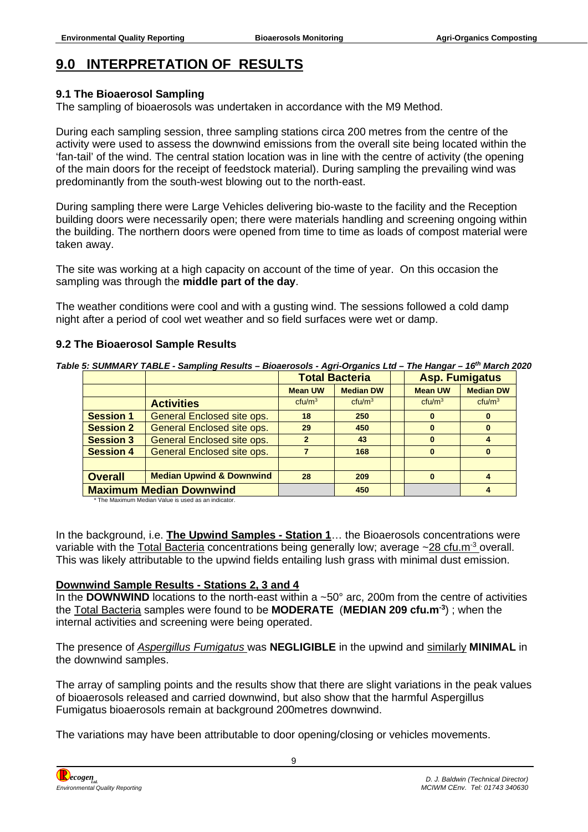# <span id="page-13-0"></span>**9.0 INTERPRETATION OF RESULTS**

### **9.1 The Bioaerosol Sampling**

The sampling of bioaerosols was undertaken in accordance with the M9 Method.

During each sampling session, three sampling stations circa 200 metres from the centre of the activity were used to assess the downwind emissions from the overall site being located within the 'fan-tail' of the wind. The central station location was in line with the centre of activity (the opening of the main doors for the receipt of feedstock material). During sampling the prevailing wind was predominantly from the south-west blowing out to the north-east.

During sampling there were Large Vehicles delivering bio-waste to the facility and the Reception building doors were necessarily open; there were materials handling and screening ongoing within the building. The northern doors were opened from time to time as loads of compost material were taken away.

The site was working at a high capacity on account of the time of year. On this occasion the sampling was through the **middle part of the day**.

The weather conditions were cool and with a gusting wind. The sessions followed a cold damp night after a period of cool wet weather and so field surfaces were wet or damp.

### **9.2 The Bioaerosol Sample Results**

*Table 5: SUMMARY TABLE - Sampling Results – Bioaerosols - Agri-Organics Ltd – The Hangar – 16th March 2020* 

|                  |                                     |                    | <b>Total Bacteria</b> |                    | <b>Asp. Fumigatus</b> |  |
|------------------|-------------------------------------|--------------------|-----------------------|--------------------|-----------------------|--|
|                  |                                     | <b>Mean UW</b>     | <b>Median DW</b>      | <b>Mean UW</b>     | <b>Median DW</b>      |  |
|                  | <b>Activities</b>                   | ctu/m <sup>3</sup> | ctu/m <sup>3</sup>    | ctu/m <sup>3</sup> | ctu/m <sup>3</sup>    |  |
| <b>Session 1</b> | General Enclosed site ops.          | 18                 | 250                   | $\bf{0}$           |                       |  |
| <b>Session 2</b> | <b>General Enclosed site ops.</b>   | 29                 | 450                   | 0                  | $\bf{0}$              |  |
| <b>Session 3</b> | General Enclosed site ops.          | $\mathbf{2}$       | 43                    | $\bf{0}$           |                       |  |
| <b>Session 4</b> | General Enclosed site ops.          |                    | 168                   | $\bf{0}$           | $\mathbf{0}$          |  |
|                  |                                     |                    |                       |                    |                       |  |
| <b>Overall</b>   | <b>Median Upwind &amp; Downwind</b> | 28                 | 209                   | $\bf{0}$           |                       |  |
|                  | <b>Maximum Median Downwind</b>      |                    | 450                   |                    |                       |  |

\* The Maximum Median Value is used as an indicator.

In the background, i.e. **The Upwind Samples - Station 1**… the Bioaerosols concentrations were variable with the Total Bacteria concentrations being generally low; average ~28 cfu.m<sup>-3</sup> overall. This was likely attributable to the upwind fields entailing lush grass with minimal dust emission.

### **Downwind Sample Results - Stations 2, 3 and 4**

In the **DOWNWIND** locations to the north-east within a ~50° arc, 200m from the centre of activities the Total Bacteria samples were found to be **MODERATE** (**MEDIAN 209 cfu.m-3**) ; when the internal activities and screening were being operated.

The presence of *Aspergillus Fumigatus* was **NEGLIGIBLE** in the upwind and similarly **MINIMAL** in the downwind samples.

The array of sampling points and the results show that there are slight variations in the peak values of bioaerosols released and carried downwind, but also show that the harmful Aspergillus Fumigatus bioaerosols remain at background 200metres downwind.

The variations may have been attributable to door opening/closing or vehicles movements.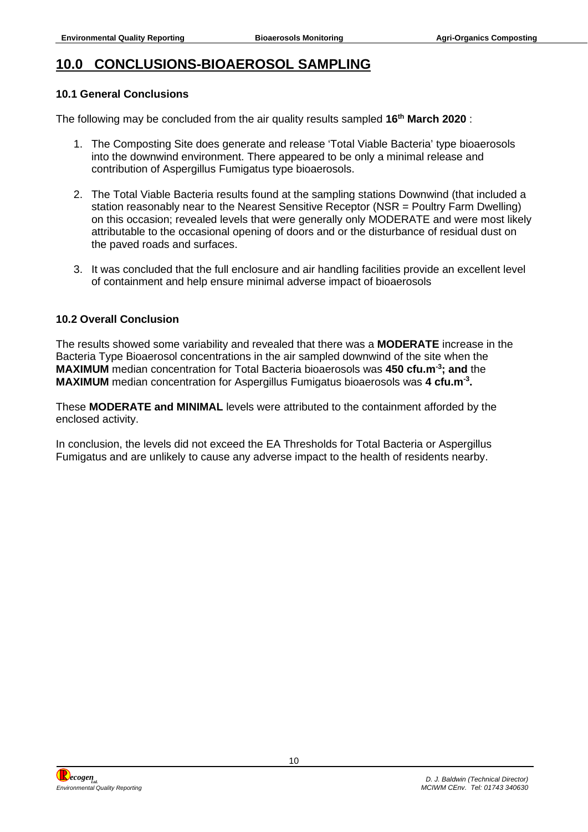## <span id="page-14-0"></span>**10.0 CONCLUSIONS-BIOAEROSOL SAMPLING**

#### **10.1 General Conclusions**

The following may be concluded from the air quality results sampled **16th March 2020** :

- 1. The Composting Site does generate and release 'Total Viable Bacteria' type bioaerosols into the downwind environment. There appeared to be only a minimal release and contribution of Aspergillus Fumigatus type bioaerosols.
- 2. The Total Viable Bacteria results found at the sampling stations Downwind (that included a station reasonably near to the Nearest Sensitive Receptor (NSR = Poultry Farm Dwelling) on this occasion; revealed levels that were generally only MODERATE and were most likely attributable to the occasional opening of doors and or the disturbance of residual dust on the paved roads and surfaces.
- 3. It was concluded that the full enclosure and air handling facilities provide an excellent level of containment and help ensure minimal adverse impact of bioaerosols

#### **10.2 Overall Conclusion**

The results showed some variability and revealed that there was a **MODERATE** increase in the Bacteria Type Bioaerosol concentrations in the air sampled downwind of the site when the **MAXIMUM** median concentration for Total Bacteria bioaerosols was **450 cfu.m-3; and** the **MAXIMUM** median concentration for Aspergillus Fumigatus bioaerosols was **4 cfu.m-3 .**

These **MODERATE and MINIMAL** levels were attributed to the containment afforded by the enclosed activity.

In conclusion, the levels did not exceed the EA Thresholds for Total Bacteria or Aspergillus Fumigatus and are unlikely to cause any adverse impact to the health of residents nearby.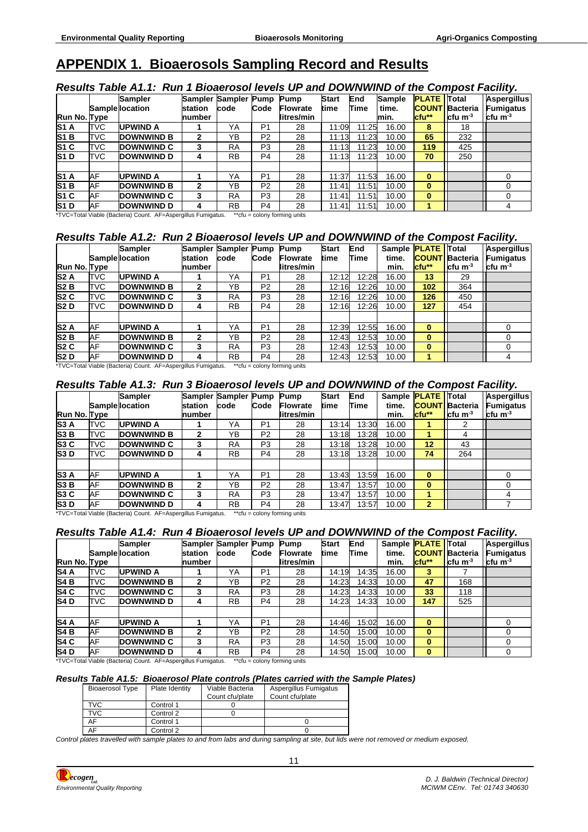# <span id="page-15-0"></span>**APPENDIX 1. Bioaerosols Sampling Record and Results**

#### *Results Table A1.1: Run 1 Bioaerosol levels UP and DOWNWIND of the Compost Facility.*

|                       |            | <b>Sampler</b><br><b>Sample location</b> | station | Sampler Sampler<br>code | <b>Pump</b><br>Code | <b>Pump</b><br><b>Flowrate</b> | <b>Start</b><br>time | End<br>Time | <b>Sample</b><br>time. | <b>PLATE</b><br><b>COUNT</b> | Total<br><b>Bacteria</b> | <b>Aspergillus</b><br>Fumigatus |
|-----------------------|------------|------------------------------------------|---------|-------------------------|---------------------|--------------------------------|----------------------|-------------|------------------------|------------------------------|--------------------------|---------------------------------|
| Run No. Type          |            |                                          | number  |                         |                     | litres/min                     |                      |             | min.                   | $ctu**$                      | lcfu m <sup>-3</sup>     | <b>cfu</b> m <sup>-3</sup>      |
| <b>S1A</b>            | <b>TVC</b> | <b>UPWIND A</b>                          |         | YΑ                      | P <sub>1</sub>      | 28                             | 11:09                | 11:25       | 16.00                  | 8                            | 18                       |                                 |
| <b>S<sub>1</sub>B</b> | <b>TVC</b> | <b>DOWNWIND B</b>                        | 2       | YB                      | P <sub>2</sub>      | 28                             | 11:13                | 11:23       | 10.00                  | 65                           | 232                      |                                 |
| <b>S1 C</b>           | <b>TVC</b> | <b>DOWNWIND C</b>                        | 3       | <b>RA</b>               | P <sub>3</sub>      | 28                             | 11:13                | 11:23       | 10.00                  | 119                          | 425                      |                                 |
| <b>S1D</b>            | <b>TVC</b> | <b>DOWNWIND D</b>                        | 4       | <b>RB</b>               | P <sub>4</sub>      | 28                             | 11:13                | 11:23       | 10.00                  | 70                           | 250                      |                                 |
|                       |            |                                          |         |                         |                     |                                |                      |             |                        |                              |                          |                                 |
| <b>S1A</b>            | AF         | <b>UPWIND A</b>                          |         | YA                      | P <sub>1</sub>      | 28                             | 11:37                | 11:53       | 16.00                  | $\bf{0}$                     |                          |                                 |
| <b>S1B</b>            | AF         | <b>DOWNWIND B</b>                        | 2       | YB                      | P <sub>2</sub>      | 28                             | 11:41                | 11:51       | 10.00                  | $\bf{0}$                     |                          |                                 |
| <b>S<sub>1</sub>C</b> | AF         | <b>DOWNWIND C</b>                        | 3       | <b>RA</b>               | P <sub>3</sub>      | 28                             | 11:41                | 11:51       | 10.00                  | $\bf{0}$                     |                          |                                 |
| <b>S1D</b>            | AF         | <b>DOWNWIND D</b>                        | 4       | <b>RB</b>               | P <sub>4</sub>      | 28                             | 11:41                | 11:51       | 10.00                  |                              |                          |                                 |

\*TVC=Total Viable (Bacteria) Count. AF=Aspergillus Fumigatus. \*\*cfu = colony forming units

#### *Results Table A1.2: Run 2 Bioaerosol levels UP and DOWNWIND of the Compost Facility.*

|                  |            | <b>Sampler</b><br><b>Sample location</b> | station      | Sampler Sampler Pump<br>code | Code           | <b>Pump</b><br><b>Flowrate</b> | <b>Start</b><br>time | End<br>Time | time. | Sample <b>PLATE</b> Total | <b>COUNT Bacteria</b> | Aspergillus<br>Fumigatus |
|------------------|------------|------------------------------------------|--------------|------------------------------|----------------|--------------------------------|----------------------|-------------|-------|---------------------------|-----------------------|--------------------------|
| Run No. Type     |            |                                          | number       |                              |                | litres/min                     |                      |             | min.  | $ctu**$                   | $\,$ Icfu m $^3$      | $ctu$ m <sup>-3</sup>    |
| S <sub>2</sub> A | <b>TVC</b> | <b>UPWIND A</b>                          |              | YA                           | P <sub>1</sub> | 28                             | 12:12                | 12:28       | 16.00 | 13                        | 29                    |                          |
| S2B              | <b>TVC</b> | <b>DOWNWIND B</b>                        | 2            | YB                           | P <sub>2</sub> | 28                             | 12:16                | 12:26       | 10.00 | 102                       | 364                   |                          |
| S <sub>2</sub> C | <b>TVC</b> | <b>DOWNWIND C</b>                        | 3            | <b>RA</b>                    | P <sub>3</sub> | 28                             | 12:16                | 12:26       | 10.00 | 126                       | 450                   |                          |
| S <sub>2</sub> D | TVC        | <b>DOWNWIND D</b>                        | 4            | <b>RB</b>                    | P4             | 28                             | 12:16                | 12:26       | 10.00 | 127                       | 454                   |                          |
|                  |            |                                          |              |                              |                |                                |                      |             |       |                           |                       |                          |
| S <sub>2</sub> A | AF         | <b>UPWIND A</b>                          |              | YA                           | P <sub>1</sub> | 28                             | 12:39                | 12:55       | 16.00 | $\bf{0}$                  |                       |                          |
| S <sub>2</sub> B | AF         | <b>DOWNWIND B</b>                        | $\mathbf{2}$ | YΒ                           | P <sub>2</sub> | 28                             | 12:43                | 12:53       | 10.00 | $\bf{0}$                  |                       |                          |
| S <sub>2</sub> C | AF         | <b>DOWNWIND C</b>                        | 3            | <b>RA</b>                    | P <sub>3</sub> | 28                             | 12:43                | 12:53       | 10.00 | $\bf{0}$                  |                       |                          |
| <b>S2D</b>       | AF         | <b>DOWNWIND D</b>                        | 4            | <b>RB</b>                    | P4             | 28                             | 12:43                | 12:53       | 10.00 | 1                         |                       |                          |

\*TVC=Total Viable (Bacteria) Count. AF=Aspergillus Fumigatus. \*\*cfu = colony forming units

#### *Results Table A1.3: Run 3 Bioaerosol levels UP and DOWNWIND of the Compost Facility.*

| Run No. Type     |            | <b>Sampler</b><br><b>Sample location</b>                                                            | station<br>number | Sampler Sampler Pump<br>code | Code           | Pump<br><b>Flowrate</b><br>litres/min | <b>Start</b><br>time | End<br>Time | Sample <b>PLATE</b> Total<br>time.<br>min. | cfu**        | <b>COUNT Bacteria</b><br>Icfu m <sup>-3</sup> | <b>Aspergillus</b><br><b>Fumigatus</b><br>l cfu m $^3$ |
|------------------|------------|-----------------------------------------------------------------------------------------------------|-------------------|------------------------------|----------------|---------------------------------------|----------------------|-------------|--------------------------------------------|--------------|-----------------------------------------------|--------------------------------------------------------|
| <b>S3A</b>       | TVC        | <b>UPWIND A</b>                                                                                     |                   | YA                           | P <sub>1</sub> | 28                                    | 13:14                | 13:30       | 16.00                                      |              |                                               |                                                        |
| S <sub>3</sub> B | <b>TVC</b> | <b>DOWNWIND B</b>                                                                                   | 2                 | YB                           | P <sub>2</sub> | 28                                    | 13:18                | 13:28       | 10.00                                      |              | 4                                             |                                                        |
| S <sub>3</sub> C | <b>TVC</b> | <b>DOWNWIND C</b>                                                                                   | 3                 | <b>RA</b>                    | P <sub>3</sub> | 28                                    | 13:18                | 13:28       | 10.00                                      | 12           | 43                                            |                                                        |
| <b>S3D</b>       | TVC        | <b>DOWNWIND D</b>                                                                                   | 4                 | <b>RB</b>                    | P <sub>4</sub> | 28                                    | 13:18                | 13:28       | 10.00                                      | 74           | 264                                           |                                                        |
|                  |            |                                                                                                     |                   |                              |                |                                       |                      |             |                                            |              |                                               |                                                        |
| <b>S3 A</b>      | AF         | <b>UPWIND A</b>                                                                                     |                   | YA                           | P <sub>1</sub> | 28                                    | 13:43                | 13:59       | 16.00                                      | $\bf{0}$     |                                               |                                                        |
| S3B              | AF         | <b>DOWNWIND B</b>                                                                                   | 2                 | YB                           | P <sub>2</sub> | 28                                    | 13:47                | 13:57       | 10.00                                      | $\bf{0}$     |                                               |                                                        |
| S3C              | AF         | <b>DOWNWIND C</b>                                                                                   | 3                 | <b>RA</b>                    | P <sub>3</sub> | 28                                    | 13:47                | 13:57       | 10.00                                      |              |                                               | 4                                                      |
| <b>S3D</b>       | AF         | <b>DOWNWIND D</b><br>$\tau$ , $\tau$ , $\tau$ , $\tau$ , $\tau$ , $\tau$ , $\tau$ , $\tau$ , $\tau$ | 4<br>- - -        | <b>RB</b><br>. .             | P <sub>4</sub> | 28                                    | 13:47                | 13:57       | 10.00                                      | $\mathbf{2}$ |                                               |                                                        |

\*TVC=Total Viable (Bacteria) Count. AF=Aspergillus Fumigatus. \*\*cfu = colony forming units

#### *Results Table A1.4: Run 4 Bioaerosol levels UP and DOWNWIND of the Compost Facility.*

|                  |            | <b>Sampler</b>         |         | Sampler Sampler Pump |                | Pump            | <b>Start</b> | End   | Sample <b>PLATE</b> Total |          |                       | <b>Aspergillus</b> |  |
|------------------|------------|------------------------|---------|----------------------|----------------|-----------------|--------------|-------|---------------------------|----------|-----------------------|--------------------|--|
|                  |            | <b>Sample location</b> | station | code                 | Code           | <b>Flowrate</b> | time         | Time  | time.                     |          | <b>COUNT Bacteria</b> | Fumigatus          |  |
| Run No. Type     |            |                        | number  |                      |                | litres/min      |              |       | min.                      | cfu**    | Icfu m $^3$           | <b>cfu</b> $m3$    |  |
| <b>S4 A</b>      | <b>TVC</b> | <b>UPWIND A</b>        |         | YA                   | P <sub>1</sub> | 28              | 14:19        | 14:35 | 16.00                     | 3        |                       |                    |  |
| S <sub>4</sub> B | <b>TVC</b> | <b>DOWNWIND B</b>      | 2       | YΒ                   | P <sub>2</sub> | 28              | 14:23        | 14:33 | 10.00                     | 47       | 168                   |                    |  |
| S <sub>4</sub> C | <b>TVC</b> | <b>DOWNWIND C</b>      | 3       | RA                   | P <sub>3</sub> | 28              | 14:23        | 14:33 | 10.00                     | 33       | 118                   |                    |  |
| <b>S4D</b>       | TVC        | <b>DOWNWIND D</b>      | 4       | <b>RB</b>            | P <sub>4</sub> | 28              | 14:23        | 14:33 | 10.00                     | 147      | 525                   |                    |  |
|                  |            |                        |         |                      |                |                 |              |       |                           |          |                       |                    |  |
| S4A              | AF         | <b>UPWIND A</b>        |         | YA                   | P <sub>1</sub> | 28              | 14:46        | 15:02 | 16.00                     | $\bf{0}$ |                       | 0                  |  |
| S4B              | AF         | <b>DOWNWIND B</b>      | 2       | YB                   | P <sub>2</sub> | 28              | 14:50        | 15:00 | 10.00                     | $\bf{0}$ |                       | 0                  |  |
| S4 C             | AF         | <b>DOWNWIND C</b>      | 3       | <b>RA</b>            | P <sub>3</sub> | 28              | 14:50        | 15:00 | 10.00                     | $\bf{0}$ |                       | 0                  |  |
| <b>S4D</b>       | AF         | <b>DOWNWIND D</b>      | 4       | <b>RB</b>            | P <sub>4</sub> | 28              | 14:50        | 15:00 | 10.00                     | $\bf{0}$ |                       |                    |  |

\*TVC=Total Viable (Bacteria) Count. AF=Aspergillus Fumigatus. \*\*cfu = colony forming units

#### *Results Table A1.5: Bioaerosol Plate controls (Plates carried with the Sample Plates)*

| <b>Bioaerosol Type</b> | Plate Identity | Viable Bacteria<br>Count cfu/plate | Aspergillus Fumigatus<br>Count cfu/plate |
|------------------------|----------------|------------------------------------|------------------------------------------|
| <b>TVC</b>             | Control 1      |                                    |                                          |
| TVC                    | Control 2      |                                    |                                          |
| AF                     | Control 1      |                                    |                                          |
| AF                     | Control 2      |                                    |                                          |

*Control plates travelled with sample plates to and from labs and during sampling at site, but lids were not removed or medium exposed.*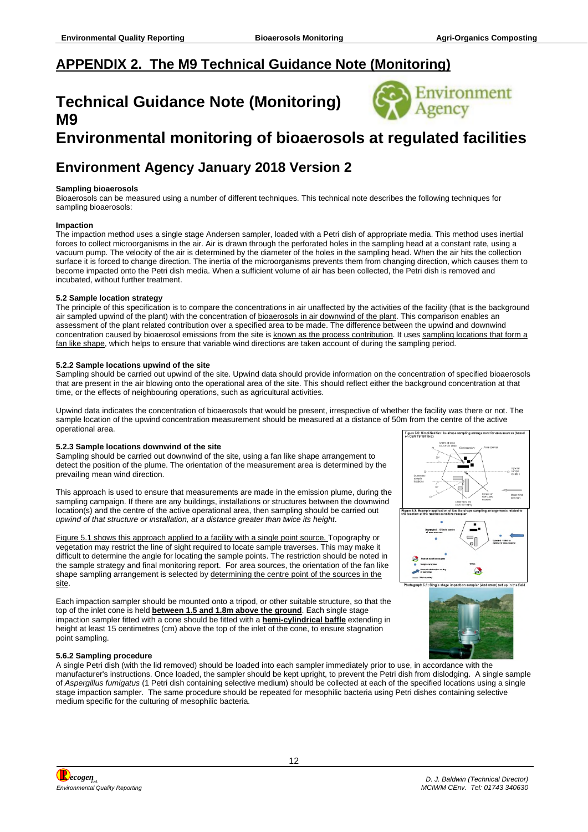# <span id="page-16-0"></span>**APPENDIX 2. The M9 Technical Guidance Note (Monitoring)**

# **Technical Guidance Note (Monitoring) M9**



# **Environmental monitoring of bioaerosols at regulated facilities**

# **Environment Agency January 2018 Version 2**

#### **Sampling bioaerosols**

Bioaerosols can be measured using a number of different techniques. This technical note describes the following techniques for sampling bioaerosols:

#### **Impaction**

The impaction method uses a single stage Andersen sampler, loaded with a Petri dish of appropriate media. This method uses inertial forces to collect microorganisms in the air. Air is drawn through the perforated holes in the sampling head at a constant rate, using a vacuum pump. The velocity of the air is determined by the diameter of the holes in the sampling head. When the air hits the collection surface it is forced to change direction. The inertia of the microorganisms prevents them from changing direction, which causes them to become impacted onto the Petri dish media. When a sufficient volume of air has been collected, the Petri dish is removed and incubated, without further treatment.

#### **5.2 Sample location strategy**

The principle of this specification is to compare the concentrations in air unaffected by the activities of the facility (that is the background air sampled upwind of the plant) with the concentration of bioaerosols in air downwind of the plant. This comparison enables an assessment of the plant related contribution over a specified area to be made. The difference between the upwind and downwind concentration caused by bioaerosol emissions from the site is known as the process contribution. It uses sampling locations that form a fan like shape, which helps to ensure that variable wind directions are taken account of during the sampling period.

#### **5.2.2 Sample locations upwind of the site**

Sampling should be carried out upwind of the site. Upwind data should provide information on the concentration of specified bioaerosols that are present in the air blowing onto the operational area of the site. This should reflect either the background concentration at that time, or the effects of neighbouring operations, such as agricultural activities.

Upwind data indicates the concentration of bioaerosols that would be present, irrespective of whether the facility was there or not. The sample location of the upwind concentration measurement should be measured at a distance of 50m from the centre of the active operational area. Figure 6.2: Simplifie

#### **5.2.3 Sample locations downwind of the site**

Sampling should be carried out downwind of the site, using a fan like shape arrangement to detect the position of the plume. The orientation of the measurement area is determined by the prevailing mean wind direction.

This approach is used to ensure that measurements are made in the emission plume, during the sampling campaign. If there are any buildings, installations or structures between the downwind location(s) and the centre of the active operational area, then sampling should be carried out *upwind of that structure or installation, at a distance greater than twice its height*.

Figure 5.1 shows this approach applied to a facility with a single point source. Topography or vegetation may restrict the line of sight required to locate sample traverses. This may make it difficult to determine the angle for locating the sample points. The restriction should be noted in the sample strategy and final monitoring report. For area sources, the orientation of the fan like shape sampling arrangement is selected by determining the centre point of the sources in the site.

Each impaction sampler should be mounted onto a tripod, or other suitable structure, so that the top of the inlet cone is held **between 1.5 and 1.8m above the ground**. Each single stage impaction sampler fitted with a cone should be fitted with a **hemi-cylindrical baffle** extending in height at least 15 centimetres (cm) above the top of the inlet of the cone, to ensure stagnation point sampling.



#### **5.6.2 Sampling procedure**

A single Petri dish (with the lid removed) should be loaded into each sampler immediately prior to use, in accordance with the manufacturer's instructions. Once loaded, the sampler should be kept upright, to prevent the Petri dish from dislodging. A single sample of *Aspergillus fumigatus* (1 Petri dish containing selective medium) should be collected at each of the specified locations using a single stage impaction sampler. The same procedure should be repeated for mesophilic bacteria using Petri dishes containing selective medium specific for the culturing of mesophilic bacteria.

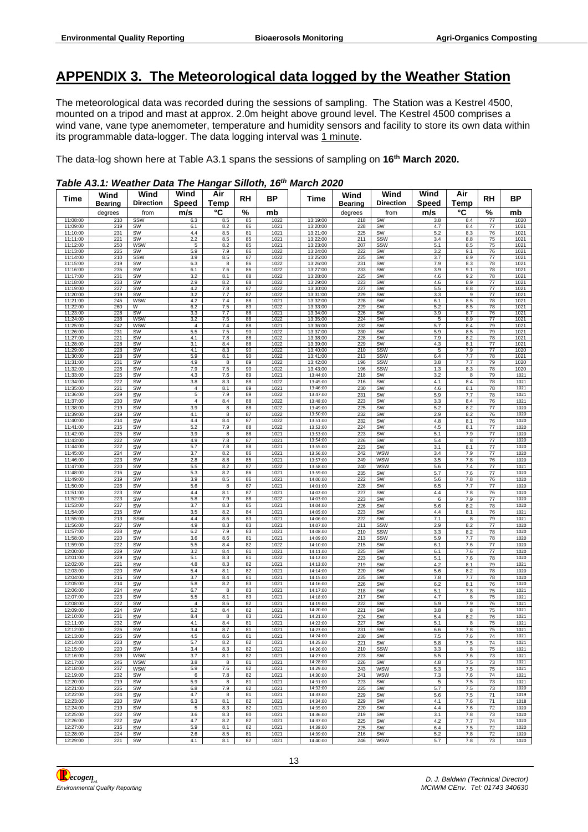### <span id="page-17-0"></span>**APPENDIX 3. The Meteorological data logged by the Weather Station**

The meteorological data was recorded during the sessions of sampling. The Station was a Kestrel 4500, mounted on a tripod and mast at approx. 2.0m height above ground level. The Kestrel 4500 comprises a wind vane, vane type anemometer, temperature and humidity sensors and facility to store its own data within its programmable data-logger. The data logging interval was 1 minute.

The data-log shown here at Table A3.1 spans the sessions of sampling on **16th March 2020.**

| Time                 | Wind       | Wind                     | Wind                | Air        | RH       | <b>BP</b>    | Time                 | Wind           | Wind             | Wind           | Air            | RH                    | ΒP           |
|----------------------|------------|--------------------------|---------------------|------------|----------|--------------|----------------------|----------------|------------------|----------------|----------------|-----------------------|--------------|
|                      | Bearing    | <b>Direction</b>         | <b>Speed</b>        | Temp       |          |              |                      | <b>Bearing</b> | <b>Direction</b> | <b>Speed</b>   | Temp           |                       |              |
|                      | degrees    | from                     | m/s                 | °C         | %        | mb           |                      | degrees        | from             | m/s            | °C             | %                     | mb           |
| 11:08:00             | 210        | SSW                      | 6.3                 | $8.5\,$    | 85       | 1022         | 13:19:00             | 218            | SW               | 3.8            | 8.4            | $77 \,$               | 1020         |
| 11:09:00<br>11:10:00 | 219<br>231 | SW<br><b>SW</b>          | 6.1<br>4.4          | 8.2<br>8.5 | 86<br>81 | 1021<br>1021 | 13:20:00<br>13:21:00 | 228<br>225     | SW<br>SW         | 4.7<br>5.2     | 8.4<br>8.3     | $\overline{77}$<br>76 | 1021<br>1021 |
| 11:11:00             | 221        | <b>SW</b>                | 2.2                 | 8.5        | 85       | 1021         | 13:22:00             | 211            | SSW              | 3.4            | 8.8            | 75                    | 1021         |
| 11:12:00             | 250        | <b>WSW</b>               | 5                   | 8.2        | 85       | 1021         | 13:23:00             | 207            | SSW              | 5.1            | 8.5            | 75                    | 1021         |
| 11:13:00<br>11:14:00 | 225<br>210 | SW<br>SSW                | 5.9<br>3.9          | 7.9<br>8.5 | 86<br>87 | 1022<br>1022 | 13:24:00<br>13:25:00 | 222<br>225     | SW<br>SW         | 3.2<br>3.7     | 9.1<br>8.9     | 76<br>77              | 1021<br>1021 |
| 11:15:00             | 219        | SW                       | 6.3                 | 8          | 86       | 1022         | 13:26:00             | 231            | <b>SW</b>        | 7.9            | 8.3            | 78                    | 1021         |
| 11:16:00             | 235        | SW                       | 6.1                 | 7.6        | 86       | 1022         | 13:27:00             | 233            | SW               | 3.9            | 9.1            | 78                    | 1021         |
| 11:17:00<br>11:18:00 | 231<br>233 | SW<br>SW                 | 3.2<br>2.9          | 8.1<br>8.2 | 88<br>88 | 1022<br>1022 | 13:28:00<br>13:29:00 | 225<br>223     | SW<br>SW         | 4.6<br>4.6     | 9.2<br>8.9     | 78<br>77              | 1021<br>1021 |
| 11:19:00             | 227        | SW                       | 4.2                 | 7.8        | 87       | 1022         | 13:30:00             | 227            | SW               | 5.5            | 8.8            | 77                    | 1021         |
| 11:20:00             | 219        | SW                       | 3.2                 | 7.7        | 87       | 1022         | 13:31:00             | 229            | SW               | 3.3            | 9              | 77                    | 1021         |
| 11:21:00             | 245        | <b>WSW</b>               | 4.2                 | 7.4        | 88       | 1021         | 13:32:00             | 228            | <b>SW</b>        | 6.1            | 8.5            | 78                    | 1021         |
| 11:22:00<br>11:23:00 | 260<br>228 | W<br>SW                  | 6.2<br>3.3          | 7.5<br>7.7 | 89<br>88 | 1022<br>1021 | 13:33:00<br>13:34:00 | 229<br>226     | SW<br><b>SW</b>  | 5.2<br>3.9     | 8.5<br>8.7     | 78<br>76              | 1021<br>1021 |
| 11:24:00             | 238        | <b>WSW</b>               | 3.2                 | 7.5        | 88       | 1022         | 13:35:00             | 224            | SW               | 5              | 8.9            | 77                    | 1021         |
| 11:25:00             | 242        | WSW                      | $\overline{4}$      | 7.4        | 88       | 1021         | 13:36:00             | 232            | SW               | 5.7            | 8.4            | 79                    | 1021         |
| 11:26:00<br>11:27:00 | 231<br>221 | SW<br>SW                 | 5.5<br>4.1          | 7.5<br>7.8 | 90<br>88 | 1022<br>1022 | 13:37:00<br>13:38:00 | 230<br>228     | SW<br>SW         | 5.9<br>7.9     | 8.5<br>8.2     | 79<br>78              | 1021<br>1021 |
| 11:28:00             | 228        | SW                       | 3.1                 | 8.4        | 88       | 1022         | 13:39:00             | 229            | SW               | 4.3            | 8.1            | 77                    | 1021         |
| 11:29:00             | 228        | SW                       | 4.1                 | 8.3        | 90       | 1022         | 13:40:00             | 210            | SSW              | 5              | 7.9            | 77                    | 1020         |
| 11:30:00<br>11:31:00 | 228<br>231 | SW<br>SW                 | 5.9<br>4.9          | 8.1<br>8   | 90<br>89 | 1022<br>1022 | 13:41:00<br>13:42:00 | 213<br>196     | SSW<br>SSW       | 6.4<br>3.8     | 7.7<br>7.7     | 78<br>79              | 1021<br>1020 |
| 11:32:00             | 226        | SW                       | 7.9                 | 7.5        | 90       | 1022         | 13:43:00             | 196            | SSW              | 1.3            | 8.3            | 78                    | 1020         |
| 11:33:00             | 225        | SW                       | 4.3                 | 7.6        | 89       | 1021         | 13:44:00             | 218            | SW               | 3.2            | 8              | 79                    | 1021         |
| 11:34:00             | 222        | SW                       | 3.8                 | 8.3        | 88       | 1022         | 13:45:00             | 216            | SW               | 4.1            | $8.4\,$        | 78                    | 1021         |
| 11:35:00<br>11:36:00 | 221<br>229 | SW<br>SW                 | $\overline{4}$<br>5 | 8.1<br>7.9 | 89<br>89 | 1021<br>1022 | 13:46:00<br>13:47:00 | 230<br>231     | SW<br>SW         | 4.6<br>5.9     | 8.1<br>7.7     | 78<br>78              | 1021<br>1021 |
| 11:37:00             | 230        | SW                       | 4                   | 8.4        | 88       | 1022         | 13:48:00             | 223            | SW               | 3.3            | 8.4            | 76                    | 1021         |
| 11:38:00             | 219        | SW                       | 3.9                 | 8          | 88       | 1022         | 13:49:00             | 225            | SW               | 5.2            | 8.2            | 77                    | 1020         |
| 11:39:00             | 219        | SW                       | 4.1                 | 8          | 87       | 1022         | 13:50:00             | 232            | SW               | 2.9            | 8.2            | 76                    | 1020         |
| 11:40:00<br>11:41:00 | 214<br>215 | SW<br>SW                 | 4.4<br>5.2          | 8.4<br>7.9 | 87<br>88 | 1022<br>1022 | 13:51:00<br>13:52:00 | 232<br>224     | SW<br>SW         | 4.8<br>4.5     | 8.1<br>8.1     | 76<br>77              | 1020<br>1020 |
| 11:42:00             | 225        | SW                       | 3.9                 | 8          | 88       | 1021         | 13:53:00             | 223            | SW               | 5.1            | 7.9            | $77 \,$               | 1020         |
| 11:43:00             | 222        | SW                       | 4.9                 | $7.8\,$    | 87       | 1021         | 13:54:00             | 226            | SW               | 5.4            | 8              | 77                    | 1020         |
| 11:44:00             | 222        | SW                       | 5.7                 | 7.8        | 88       | 1021         | 13:55:00             | 223            | SW               | 3.1            | 8.1            | $77 \,$               | 1020         |
| 11:45:00<br>11:46:00 | 224<br>223 | SW<br>SW                 | 3.7<br>2.8          | 8.2<br>8.8 | 86<br>85 | 1021<br>1021 | 13:56:00<br>13:57:00 | 242<br>249     | WSW<br>WSW       | 3.4<br>3.5     | 7.9<br>7.8     | $77 \,$<br>76         | 1020<br>1020 |
| 11:47:00             | 220        | SW                       | 5.5                 | 8.2        | 87       | 1022         | 13:58:00             | 240            | <b>WSW</b>       | 5.6            | 7.4            | $77 \,$               | 1021         |
| 11:48:00             | 216        | SW                       | 5.3                 | 8.2        | 86       | 1021         | 13:59:00             | 235            | SW               | 5.7            | 7.6            | $77 \,$               | 1020         |
| 11:49:00             | 219        | SW                       | 3.9                 | 8.5        | 86       | 1021         | 14:00:00             | 222            | SW               | 5.6            | 7.8            | 76                    | 1020         |
| 11:50:00<br>11:51:00 | 226<br>223 | SW<br>SW                 | 5.6<br>4.4          | 8<br>8.1   | 87<br>87 | 1021<br>1021 | 14:01:00<br>14:02:00 | 228<br>227     | SW<br>SW         | 6.5<br>4.4     | 7.7<br>7.8     | $77 \,$<br>76         | 1020<br>1020 |
| 11:52:00             | 223        | SW                       | 5.8                 | 7.9        | 88       | 1022         | 14:03:00             | 223            | SW               | 6              | 7.9            | $77 \,$               | 1020         |
| 11:53:00             | 227        | SW                       | 3.7                 | 8.3        | 85       | 1021         | 14:04:00             | 226            | SW               | 5.6            | 8.2            | 78                    | 1020         |
| 11:54:00             | 215        | SW                       | 3.5                 | 8.2        | 84       | 1021         | 14:05:00             | 223            | SW               | 4.4            | 8.1            | 76                    | 1021         |
| 11:55:00<br>11:56:00 | 213<br>227 | SSW<br>SW                | 4.4<br>4.9          | 8.6<br>8.3 | 83<br>83 | 1021<br>1021 | 14:06:00<br>14:07:00 | 222<br>211     | SW<br>SSW        | 7.1<br>2.9     | 8<br>8.2       | 79<br>77              | 1021<br>1020 |
| 11:57:00             | 228        | SW                       | 6.2                 | 7.9        | 83       | 1021         | 14:08:00             | 210            | SSW              | 3.3            | 8.2            | 78                    | 1020         |
| 11:58:00             | 220        | SW                       | 3.6                 | 8.6        | 81       | 1021         | 14:09:00             | 213            | SSW              | 5.9            | 7.7            | 78                    | 1020         |
| 11:59:00             | 222        | SW                       | 5.5                 | 8.4        | 82       | 1022         | 14:10:00             | 215            | SW               | 6.1            | 7.6            | 77                    | 1020         |
| 12:00:00<br>12:01:00 | 229<br>229 | SW<br>SW                 | 3.2<br>5.1          | 8.4<br>8.3 | 81<br>81 | 1021<br>1022 | 14:11:00<br>14:12:00 | 225<br>223     | SW<br>SW         | 6.1<br>5.1     | 7.6<br>7.6     | 77<br>78              | 1020<br>1020 |
| 12:02:00             | 221        | SW                       | 4.8                 | 8.3        | 82       | 1021         | 14:13:00             | 219            | SW               | 4.2            | 8.1            | 79                    | 1021         |
| 12:03:00             | 220        | SW                       | 5.4                 | 8.1        | 82       | 1021         | 14:14:00             | 220            | SW               | 5.6            | 8.2            | 78                    | 1020         |
| 12:04:00             | 215        | SW                       | 3.7                 | 8.4        | 81       | 1021         | 14:15:00             | 225            | SW               | 7.8            | 7.7            | 78                    | 1020         |
| 12:05:00<br>12:06:00 | 214<br>224 | SW<br>SW                 | 5.8<br>6.7          | 8.2<br>8   | 83<br>83 | 1021<br>1021 | 14:16:00<br>14:17:00 | 226<br>218     | SW<br>SW         | $6.2\,$<br>5.1 | 8.1<br>7.8     | 76<br>75              | 1020<br>1021 |
| 12:07:00             | 223        | SW                       | 5.5                 | 8.1        | 83       | 1021         | 14:18:00             | 217            | SW               | 4.7            | 8              | 75                    | 1021         |
| 12:08:00             | 222        | SW                       | $\overline{4}$      | 8.6        | 82       | 1021         | 14:19:00             | 222            | SW               | 5.9            | 7.9            | 76                    | 1021         |
| 12:09:00             | 224        | SW                       | 5.2                 | 8.4        | 82       | 1021         | 14:20:00             | 221            | SW               | 3.8            | 8              | 75                    | 1021         |
| 12:10:00<br>12:11:00 | 231<br>232 | SW<br>SW                 | 8.4<br>4.1          | 8<br>8.4   | 83<br>81 | 1021<br>1021 | 14:21:00<br>14:22:00 | 224<br>227     | SW<br>SW         | 5.4<br>5.1     | 8.2<br>8       | 76<br>75              | 1021<br>1021 |
| 12:12:00             | 226        | SW                       | 3.4                 | 8.7        | 81       | 1021         | 14:23:00             | 231            | SW               | 6.6            | 7.8            | 75                    | 1021         |
| 12:13:00             | 225        | SW                       | 4.5                 | 8.6        | 81       | 1021         | 14:24:00             | 230            | SW               | 7.5            | 7.6            | 74                    | 1021         |
| 12:14:00             | 223        | SW                       | 5.7                 | 8.2        | 82       | 1021         | 14:25:00             | 221            | SW               | 5.8            | 7.5            | 74                    | 1021         |
| 12:15:00             | 220        | SW                       | 3.4                 | 8.3        | 82       | 1021         | 14:26:00<br>14:27:00 | 210            | SSW              | 3.3            | 8              | 75                    | 1021         |
| 12:16:00<br>12:17:00 | 239<br>246 | <b>WSW</b><br><b>WSW</b> | 3.7<br>3.8          | 8.1<br>8   | 82<br>81 | 1021<br>1021 | 14:28:00             | 223<br>226     | SW<br>SW         | 5.5<br>4.8     | 7.6<br>$7.5\,$ | 73<br>73              | 1021<br>1021 |
| 12:18:00             | 237        | WSW                      | 5.9                 | 7.6        | 82       | 1021         | 14:29:00             | 243            | WSW              | 5.3            | 7.5            | 75                    | 1021         |
| 12:19:00             | 232        | SW                       | 6                   | 7.8        | 82       | 1021         | 14:30:00             | 241            | WSW              | 7.3            | 7.6            | 74                    | 1021         |
| 12:20:00             | 219        | SW                       | 5.9                 | 8          | 81       | 1021         | 14:31:00             | 223            | SW               | 5              | 7.5            | 73                    | 1021         |
| 12:21:00<br>12:22:00 | 225<br>224 | SW<br>SW                 | 6.8<br>4.7          | 7.9<br>8   | 82<br>81 | 1021<br>1021 | 14:32:00<br>14:33:00 | 225<br>229     | SW<br>SW         | 5.7<br>5.6     | 7.5<br>$7.5\,$ | 73<br>71              | 1020<br>1019 |
| 12:23:00             | 220        | SW                       | 6.3                 | 8.1        | 82       | 1021         | 14:34:00             | 229            | SW               | 4.1            | 7.6            | 71                    | 1018         |
| 12:24:00             | 219        | SW                       | 5                   | 8.3        | 82       | 1021         | 14:35:00             | 220            | SW               | 4.4            | 7.6            | 72                    | 1020         |
| 12:25:00             | 222        | SW                       | 3.6                 | 8.3        | 80       | 1021         | 14:36:00             | 219            | SW               | 3.1            | 7.8            | 73                    | 1020         |
| 12:26:00             | 222        | SW                       | 4.7                 | 8.2        | 82       | 1021<br>1021 | 14:37:00             | 225            | SW               | 4.2            | 7.7            | 74<br>$72\,$          | 1020         |
| 12:27:00<br>12:28:00 | 216<br>224 | SW<br>SW                 | 5.9<br>2.6          | 8.1<br>8.5 | 82<br>81 | 1021         | 14:38:00<br>14:39:00 | 225<br>216     | SW<br>SW         | 6.4<br>5.2     | 7.5<br>7.8     | 72                    | 1020<br>1020 |
| 12:29:00             | 221        | SW                       | 4.1                 | 8.1        | 82       | 1021         | 14:40:00             | 246            | WSW              | 5.7            | 7.8            | 73                    | 1020         |

#### *Table A3.1: Weather Data The Hangar Silloth, 16th March 2020*